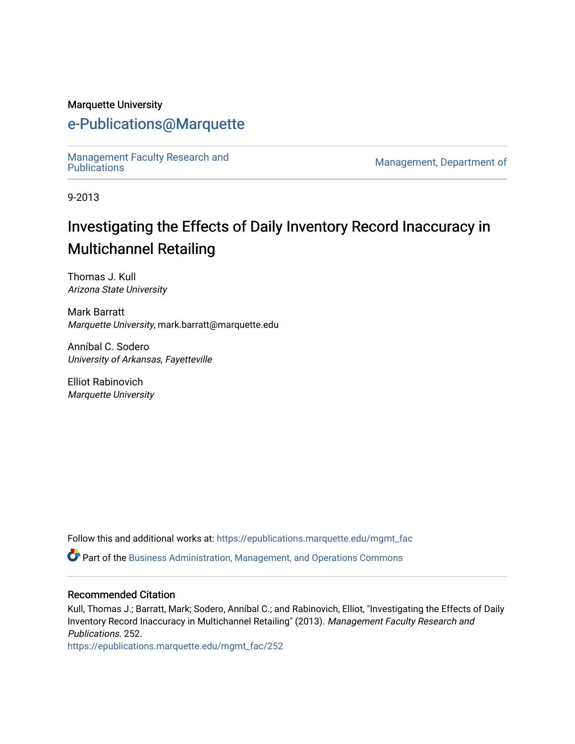#### Marquette University

# [e-Publications@Marquette](https://epublications.marquette.edu/)

Management Faculty Research and<br>Publications

Management, Department of

9-2013

# Investigating the Effects of Daily Inventory Record Inaccuracy in Multichannel Retailing

Thomas J. Kull Arizona State University

Mark Barratt Marquette University, mark.barratt@marquette.edu

Anníbal C. Sodero University of Arkansas, Fayetteville

Elliot Rabinovich Marquette University

Follow this and additional works at: [https://epublications.marquette.edu/mgmt\\_fac](https://epublications.marquette.edu/mgmt_fac?utm_source=epublications.marquette.edu%2Fmgmt_fac%2F252&utm_medium=PDF&utm_campaign=PDFCoverPages) 

Part of the [Business Administration, Management, and Operations Commons](http://network.bepress.com/hgg/discipline/623?utm_source=epublications.marquette.edu%2Fmgmt_fac%2F252&utm_medium=PDF&utm_campaign=PDFCoverPages)

#### Recommended Citation

Kull, Thomas J.; Barratt, Mark; Sodero, Anníbal C.; and Rabinovich, Elliot, "Investigating the Effects of Daily Inventory Record Inaccuracy in Multichannel Retailing" (2013). Management Faculty Research and Publications. 252.

[https://epublications.marquette.edu/mgmt\\_fac/252](https://epublications.marquette.edu/mgmt_fac/252?utm_source=epublications.marquette.edu%2Fmgmt_fac%2F252&utm_medium=PDF&utm_campaign=PDFCoverPages)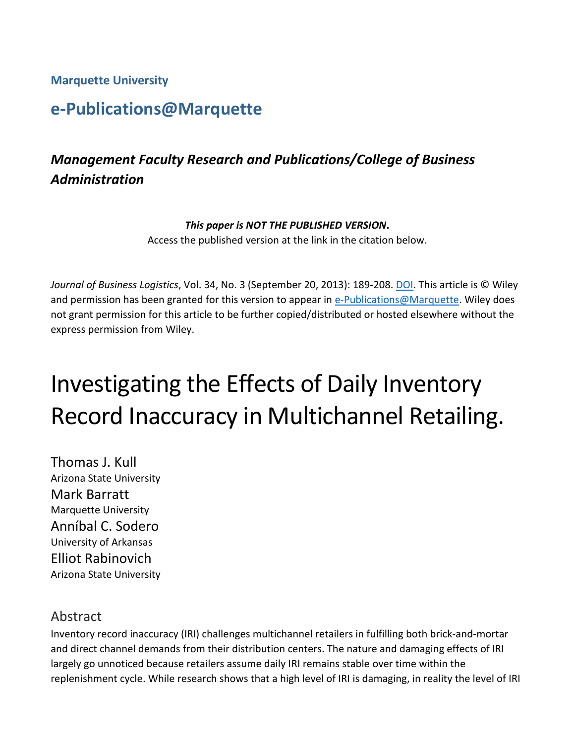**Marquette University**

# **e-Publications@Marquette**

# *Management Faculty Research and Publications/College of Business Administration*

#### *This paper is NOT THE PUBLISHED VERSION***.**

Access the published version at the link in the citation below.

*Journal of Business Logistics*, Vol. 34, No. 3 (September 20, 2013): 189-208[. DOI.](https://doi.org/10.1111/jbl.12019) This article is © Wiley and permission has been granted for this version to appear in [e-Publications@Marquette.](http://epublications.marquette.edu/) Wiley does not grant permission for this article to be further copied/distributed or hosted elsewhere without the express permission from Wiley.

# Investigating the Effects of Daily Inventory Record Inaccuracy in Multichannel Retailing.

Thomas J. Kull Arizona State University Mark Barratt Marquette University Anníbal C. Sodero University of Arkansas Elliot Rabinovich Arizona State University

## Abstract

Inventory record inaccuracy (IRI) challenges multichannel retailers in fulfilling both brick‐and‐mortar and direct channel demands from their distribution centers. The nature and damaging effects of IRI largely go unnoticed because retailers assume daily IRI remains stable over time within the replenishment cycle. While research shows that a high level of IRI is damaging, in reality the level of IRI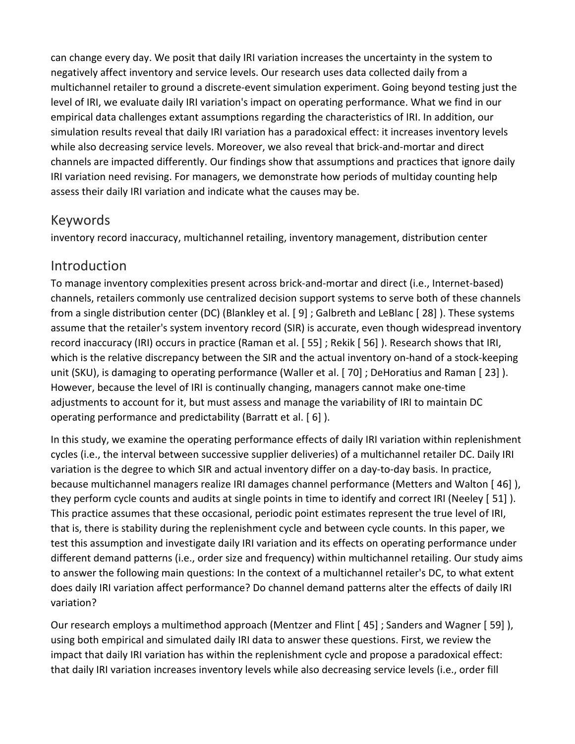can change every day. We posit that daily IRI variation increases the uncertainty in the system to negatively affect inventory and service levels. Our research uses data collected daily from a multichannel retailer to ground a discrete‐event simulation experiment. Going beyond testing just the level of IRI, we evaluate daily IRI variation's impact on operating performance. What we find in our empirical data challenges extant assumptions regarding the characteristics of IRI. In addition, our simulation results reveal that daily IRI variation has a paradoxical effect: it increases inventory levels while also decreasing service levels. Moreover, we also reveal that brick-and-mortar and direct channels are impacted differently. Our findings show that assumptions and practices that ignore daily IRI variation need revising. For managers, we demonstrate how periods of multiday counting help assess their daily IRI variation and indicate what the causes may be.

## Keywords

inventory record inaccuracy, multichannel retailing, inventory management, distribution center

## Introduction

To manage inventory complexities present across brick‐and‐mortar and direct (i.e., Internet‐based) channels, retailers commonly use centralized decision support systems to serve both of these channels from a single distribution center (DC) (Blankley et al. [ 9] ; Galbreth and LeBlanc [ 28] ). These systems assume that the retailer's system inventory record (SIR) is accurate, even though widespread inventory record inaccuracy (IRI) occurs in practice (Raman et al. [ 55] ; Rekik [ 56] ). Research shows that IRI, which is the relative discrepancy between the SIR and the actual inventory on-hand of a stock-keeping unit (SKU), is damaging to operating performance (Waller et al. [ 70] ; DeHoratius and Raman [ 23] ). However, because the level of IRI is continually changing, managers cannot make one-time adjustments to account for it, but must assess and manage the variability of IRI to maintain DC operating performance and predictability (Barratt et al. [ 6] ).

In this study, we examine the operating performance effects of daily IRI variation within replenishment cycles (i.e., the interval between successive supplier deliveries) of a multichannel retailer DC. Daily IRI variation is the degree to which SIR and actual inventory differ on a day-to-day basis. In practice, because multichannel managers realize IRI damages channel performance (Metters and Walton [ 46] ), they perform cycle counts and audits at single points in time to identify and correct IRI (Neeley [ 51] ). This practice assumes that these occasional, periodic point estimates represent the true level of IRI, that is, there is stability during the replenishment cycle and between cycle counts. In this paper, we test this assumption and investigate daily IRI variation and its effects on operating performance under different demand patterns (i.e., order size and frequency) within multichannel retailing. Our study aims to answer the following main questions: In the context of a multichannel retailer's DC, to what extent does daily IRI variation affect performance? Do channel demand patterns alter the effects of daily IRI variation?

Our research employs a multimethod approach (Mentzer and Flint [ 45] ; Sanders and Wagner [ 59] ), using both empirical and simulated daily IRI data to answer these questions. First, we review the impact that daily IRI variation has within the replenishment cycle and propose a paradoxical effect: that daily IRI variation increases inventory levels while also decreasing service levels (i.e., order fill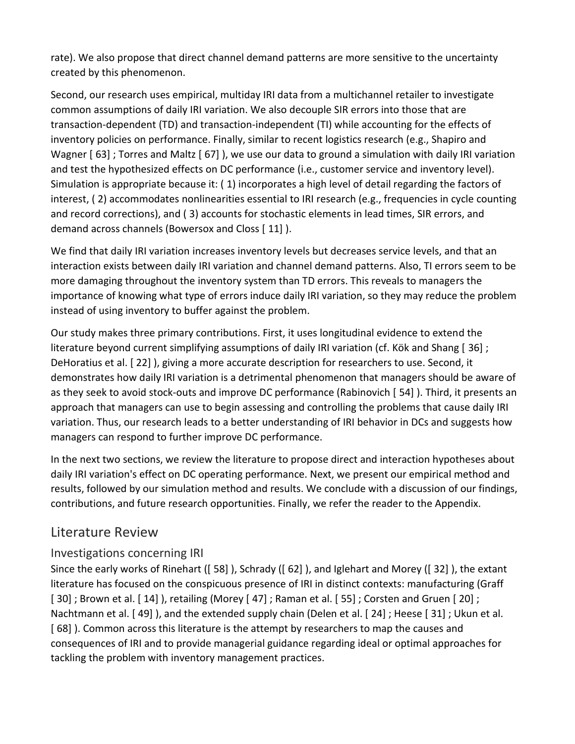rate). We also propose that direct channel demand patterns are more sensitive to the uncertainty created by this phenomenon.

Second, our research uses empirical, multiday IRI data from a multichannel retailer to investigate common assumptions of daily IRI variation. We also decouple SIR errors into those that are transaction‐dependent (TD) and transaction‐independent (TI) while accounting for the effects of inventory policies on performance. Finally, similar to recent logistics research (e.g., Shapiro and Wagner [63]; Torres and Maltz [67]), we use our data to ground a simulation with daily IRI variation and test the hypothesized effects on DC performance (i.e., customer service and inventory level). Simulation is appropriate because it: ( 1) incorporates a high level of detail regarding the factors of interest, ( 2) accommodates nonlinearities essential to IRI research (e.g., frequencies in cycle counting and record corrections), and ( 3) accounts for stochastic elements in lead times, SIR errors, and demand across channels (Bowersox and Closs [ 11] ).

We find that daily IRI variation increases inventory levels but decreases service levels, and that an interaction exists between daily IRI variation and channel demand patterns. Also, TI errors seem to be more damaging throughout the inventory system than TD errors. This reveals to managers the importance of knowing what type of errors induce daily IRI variation, so they may reduce the problem instead of using inventory to buffer against the problem.

Our study makes three primary contributions. First, it uses longitudinal evidence to extend the literature beyond current simplifying assumptions of daily IRI variation (cf. Kök and Shang [ 36] ; DeHoratius et al. [ 22] ), giving a more accurate description for researchers to use. Second, it demonstrates how daily IRI variation is a detrimental phenomenon that managers should be aware of as they seek to avoid stock‐outs and improve DC performance (Rabinovich [ 54] ). Third, it presents an approach that managers can use to begin assessing and controlling the problems that cause daily IRI variation. Thus, our research leads to a better understanding of IRI behavior in DCs and suggests how managers can respond to further improve DC performance.

In the next two sections, we review the literature to propose direct and interaction hypotheses about daily IRI variation's effect on DC operating performance. Next, we present our empirical method and results, followed by our simulation method and results. We conclude with a discussion of our findings, contributions, and future research opportunities. Finally, we refer the reader to the Appendix.

## Literature Review

## Investigations concerning IRI

Since the early works of Rinehart ([ 58] ), Schrady ([ 62] ), and Iglehart and Morey ([ 32] ), the extant literature has focused on the conspicuous presence of IRI in distinct contexts: manufacturing (Graff [ 30] ; Brown et al. [ 14] ), retailing (Morey [ 47] ; Raman et al. [ 55] ; Corsten and Gruen [ 20] ; Nachtmann et al. [ 49] ), and the extended supply chain (Delen et al. [ 24] ; Heese [ 31] ; Ukun et al. [ 68] ). Common across this literature is the attempt by researchers to map the causes and consequences of IRI and to provide managerial guidance regarding ideal or optimal approaches for tackling the problem with inventory management practices.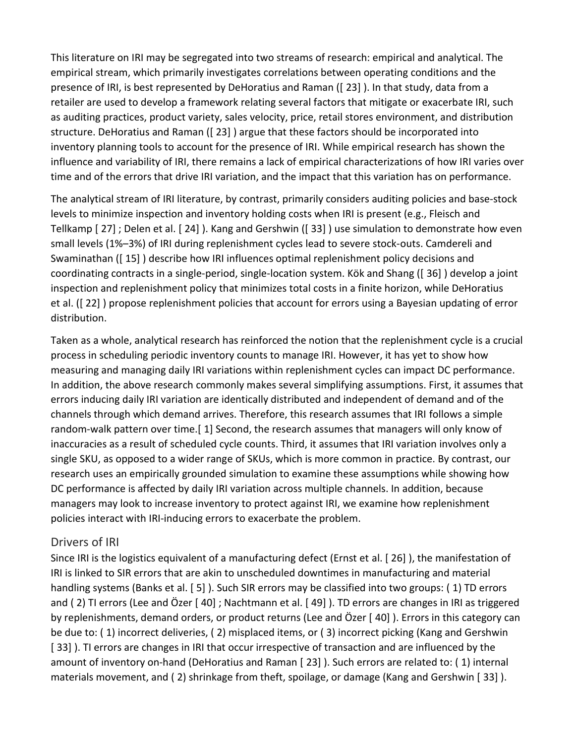This literature on IRI may be segregated into two streams of research: empirical and analytical. The empirical stream, which primarily investigates correlations between operating conditions and the presence of IRI, is best represented by DeHoratius and Raman ([ 23] ). In that study, data from a retailer are used to develop a framework relating several factors that mitigate or exacerbate IRI, such as auditing practices, product variety, sales velocity, price, retail stores environment, and distribution structure. DeHoratius and Raman ([ 23] ) argue that these factors should be incorporated into inventory planning tools to account for the presence of IRI. While empirical research has shown the influence and variability of IRI, there remains a lack of empirical characterizations of how IRI varies over time and of the errors that drive IRI variation, and the impact that this variation has on performance.

The analytical stream of IRI literature, by contrast, primarily considers auditing policies and base‐stock levels to minimize inspection and inventory holding costs when IRI is present (e.g., Fleisch and Tellkamp [ 27] ; Delen et al. [ 24] ). Kang and Gershwin ([ 33] ) use simulation to demonstrate how even small levels (1%–3%) of IRI during replenishment cycles lead to severe stock‐outs. Camdereli and Swaminathan ([ 15] ) describe how IRI influences optimal replenishment policy decisions and coordinating contracts in a single‐period, single‐location system. Kök and Shang ([ 36] ) develop a joint inspection and replenishment policy that minimizes total costs in a finite horizon, while DeHoratius et al. ([ 22] ) propose replenishment policies that account for errors using a Bayesian updating of error distribution.

Taken as a whole, analytical research has reinforced the notion that the replenishment cycle is a crucial process in scheduling periodic inventory counts to manage IRI. However, it has yet to show how measuring and managing daily IRI variations within replenishment cycles can impact DC performance. In addition, the above research commonly makes several simplifying assumptions. First, it assumes that errors inducing daily IRI variation are identically distributed and independent of demand and of the channels through which demand arrives. Therefore, this research assumes that IRI follows a simple random‐walk pattern over time.[ 1] Second, the research assumes that managers will only know of inaccuracies as a result of scheduled cycle counts. Third, it assumes that IRI variation involves only a single SKU, as opposed to a wider range of SKUs, which is more common in practice. By contrast, our research uses an empirically grounded simulation to examine these assumptions while showing how DC performance is affected by daily IRI variation across multiple channels. In addition, because managers may look to increase inventory to protect against IRI, we examine how replenishment policies interact with IRI‐inducing errors to exacerbate the problem.

#### Drivers of IRI

Since IRI is the logistics equivalent of a manufacturing defect (Ernst et al. [ 26] ), the manifestation of IRI is linked to SIR errors that are akin to unscheduled downtimes in manufacturing and material handling systems (Banks et al. [5]). Such SIR errors may be classified into two groups: (1) TD errors and ( 2) TI errors (Lee and Özer [ 40] ; Nachtmann et al. [ 49] ). TD errors are changes in IRI as triggered by replenishments, demand orders, or product returns (Lee and Özer [ 40] ). Errors in this category can be due to: ( 1) incorrect deliveries, ( 2) misplaced items, or ( 3) incorrect picking (Kang and Gershwin [33]). TI errors are changes in IRI that occur irrespective of transaction and are influenced by the amount of inventory on‐hand (DeHoratius and Raman [ 23] ). Such errors are related to: ( 1) internal materials movement, and ( 2) shrinkage from theft, spoilage, or damage (Kang and Gershwin [ 33] ).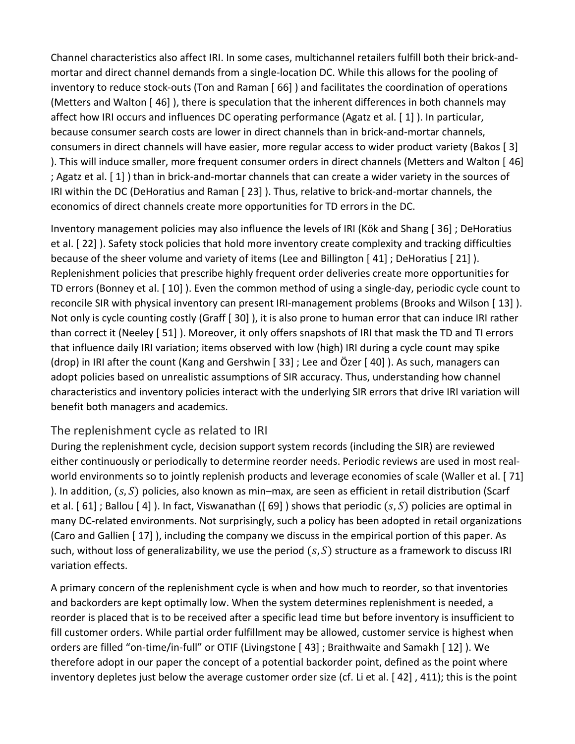Channel characteristics also affect IRI. In some cases, multichannel retailers fulfill both their brick‐and‐ mortar and direct channel demands from a single‐location DC. While this allows for the pooling of inventory to reduce stock‐outs (Ton and Raman [ 66] ) and facilitates the coordination of operations (Metters and Walton [ 46] ), there is speculation that the inherent differences in both channels may affect how IRI occurs and influences DC operating performance (Agatz et al. [ 1] ). In particular, because consumer search costs are lower in direct channels than in brick‐and‐mortar channels, consumers in direct channels will have easier, more regular access to wider product variety (Bakos [ 3] ). This will induce smaller, more frequent consumer orders in direct channels (Metters and Walton [ 46] ; Agatz et al. [ 1] ) than in brick‐and‐mortar channels that can create a wider variety in the sources of IRI within the DC (DeHoratius and Raman [ 23] ). Thus, relative to brick‐and‐mortar channels, the economics of direct channels create more opportunities for TD errors in the DC.

Inventory management policies may also influence the levels of IRI (Kök and Shang [ 36] ; DeHoratius et al. [ 22] ). Safety stock policies that hold more inventory create complexity and tracking difficulties because of the sheer volume and variety of items (Lee and Billington [ 41] ; DeHoratius [ 21] ). Replenishment policies that prescribe highly frequent order deliveries create more opportunities for TD errors (Bonney et al. [ 10] ). Even the common method of using a single‐day, periodic cycle count to reconcile SIR with physical inventory can present IRI‐management problems (Brooks and Wilson [ 13] ). Not only is cycle counting costly (Graff [ 30] ), it is also prone to human error that can induce IRI rather than correct it (Neeley [ 51] ). Moreover, it only offers snapshots of IRI that mask the TD and TI errors that influence daily IRI variation; items observed with low (high) IRI during a cycle count may spike (drop) in IRI after the count (Kang and Gershwin [ 33] ; Lee and Özer [ 40] ). As such, managers can adopt policies based on unrealistic assumptions of SIR accuracy. Thus, understanding how channel characteristics and inventory policies interact with the underlying SIR errors that drive IRI variation will benefit both managers and academics.

## The replenishment cycle as related to IRI

During the replenishment cycle, decision support system records (including the SIR) are reviewed either continuously or periodically to determine reorder needs. Periodic reviews are used in most real‐ world environments so to jointly replenish products and leverage economies of scale (Waller et al. [ 71] ). In addition,  $(s, S)$  policies, also known as min–max, are seen as efficient in retail distribution (Scarf et al. [61]; Ballou [4]). In fact, Viswanathan ([69]) shows that periodic  $(s, S)$  policies are optimal in many DC‐related environments. Not surprisingly, such a policy has been adopted in retail organizations (Caro and Gallien [ 17] ), including the company we discuss in the empirical portion of this paper. As such, without loss of generalizability, we use the period  $(s, S)$  structure as a framework to discuss IRI variation effects.

A primary concern of the replenishment cycle is when and how much to reorder, so that inventories and backorders are kept optimally low. When the system determines replenishment is needed, a reorder is placed that is to be received after a specific lead time but before inventory is insufficient to fill customer orders. While partial order fulfillment may be allowed, customer service is highest when orders are filled "on-time/in-full" or OTIF (Livingstone [43] ; Braithwaite and Samakh [12] ). We therefore adopt in our paper the concept of a potential backorder point, defined as the point where inventory depletes just below the average customer order size (cf. Li et al. [ 42] , 411); this is the point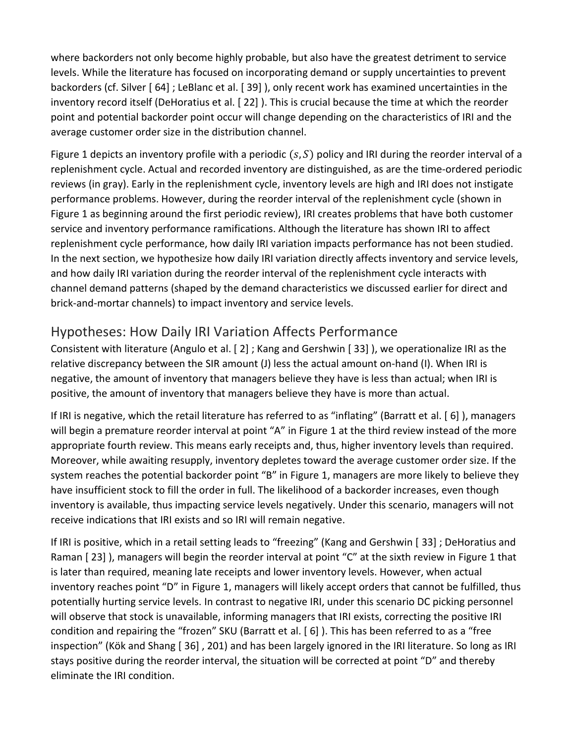where backorders not only become highly probable, but also have the greatest detriment to service levels. While the literature has focused on incorporating demand or supply uncertainties to prevent backorders (cf. Silver [ 64] ; LeBlanc et al. [ 39] ), only recent work has examined uncertainties in the inventory record itself (DeHoratius et al. [ 22] ). This is crucial because the time at which the reorder point and potential backorder point occur will change depending on the characteristics of IRI and the average customer order size in the distribution channel.

Figure 1 depicts an inventory profile with a periodic  $(s, S)$  policy and IRI during the reorder interval of a replenishment cycle. Actual and recorded inventory are distinguished, as are the time‐ordered periodic reviews (in gray). Early in the replenishment cycle, inventory levels are high and IRI does not instigate performance problems. However, during the reorder interval of the replenishment cycle (shown in Figure 1 as beginning around the first periodic review), IRI creates problems that have both customer service and inventory performance ramifications. Although the literature has shown IRI to affect replenishment cycle performance, how daily IRI variation impacts performance has not been studied. In the next section, we hypothesize how daily IRI variation directly affects inventory and service levels, and how daily IRI variation during the reorder interval of the replenishment cycle interacts with channel demand patterns (shaped by the demand characteristics we discussed earlier for direct and brick‐and‐mortar channels) to impact inventory and service levels.

# Hypotheses: How Daily IRI Variation Affects Performance

Consistent with literature (Angulo et al. [ 2] ; Kang and Gershwin [ 33] ), we operationalize IRI as the relative discrepancy between the SIR amount (J) less the actual amount on‐hand (I). When IRI is negative, the amount of inventory that managers believe they have is less than actual; when IRI is positive, the amount of inventory that managers believe they have is more than actual.

If IRI is negative, which the retail literature has referred to as "inflating" (Barratt et al. [ 6] ), managers will begin a premature reorder interval at point "A" in Figure 1 at the third review instead of the more appropriate fourth review. This means early receipts and, thus, higher inventory levels than required. Moreover, while awaiting resupply, inventory depletes toward the average customer order size. If the system reaches the potential backorder point "B" in Figure 1, managers are more likely to believe they have insufficient stock to fill the order in full. The likelihood of a backorder increases, even though inventory is available, thus impacting service levels negatively. Under this scenario, managers will not receive indications that IRI exists and so IRI will remain negative.

If IRI is positive, which in a retail setting leads to "freezing" (Kang and Gershwin [ 33] ; DeHoratius and Raman [23]), managers will begin the reorder interval at point "C" at the sixth review in Figure 1 that is later than required, meaning late receipts and lower inventory levels. However, when actual inventory reaches point "D" in Figure 1, managers will likely accept orders that cannot be fulfilled, thus potentially hurting service levels. In contrast to negative IRI, under this scenario DC picking personnel will observe that stock is unavailable, informing managers that IRI exists, correcting the positive IRI condition and repairing the "frozen" SKU (Barratt et al. [ 6] ). This has been referred to as a "free inspection" (Kök and Shang [ 36] , 201) and has been largely ignored in the IRI literature. So long as IRI stays positive during the reorder interval, the situation will be corrected at point "D" and thereby eliminate the IRI condition.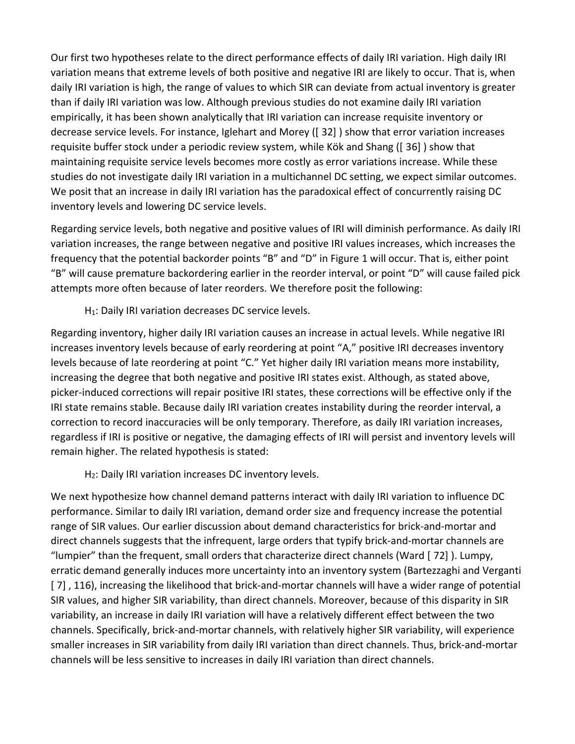Our first two hypotheses relate to the direct performance effects of daily IRI variation. High daily IRI variation means that extreme levels of both positive and negative IRI are likely to occur. That is, when daily IRI variation is high, the range of values to which SIR can deviate from actual inventory is greater than if daily IRI variation was low. Although previous studies do not examine daily IRI variation empirically, it has been shown analytically that IRI variation can increase requisite inventory or decrease service levels. For instance, Iglehart and Morey ([ 32] ) show that error variation increases requisite buffer stock under a periodic review system, while Kök and Shang ([ 36] ) show that maintaining requisite service levels becomes more costly as error variations increase. While these studies do not investigate daily IRI variation in a multichannel DC setting, we expect similar outcomes. We posit that an increase in daily IRI variation has the paradoxical effect of concurrently raising DC inventory levels and lowering DC service levels.

Regarding service levels, both negative and positive values of IRI will diminish performance. As daily IRI variation increases, the range between negative and positive IRI values increases, which increases the frequency that the potential backorder points "B" and "D" in Figure 1 will occur. That is, either point "B" will cause premature backordering earlier in the reorder interval, or point "D" will cause failed pick attempts more often because of later reorders. We therefore posit the following:

H<sub>1</sub>: Daily IRI variation decreases DC service levels.

Regarding inventory, higher daily IRI variation causes an increase in actual levels. While negative IRI increases inventory levels because of early reordering at point "A," positive IRI decreases inventory levels because of late reordering at point "C." Yet higher daily IRI variation means more instability, increasing the degree that both negative and positive IRI states exist. Although, as stated above, picker-induced corrections will repair positive IRI states, these corrections will be effective only if the IRI state remains stable. Because daily IRI variation creates instability during the reorder interval, a correction to record inaccuracies will be only temporary. Therefore, as daily IRI variation increases, regardless if IRI is positive or negative, the damaging effects of IRI will persist and inventory levels will remain higher. The related hypothesis is stated:

H2: Daily IRI variation increases DC inventory levels.

We next hypothesize how channel demand patterns interact with daily IRI variation to influence DC performance. Similar to daily IRI variation, demand order size and frequency increase the potential range of SIR values. Our earlier discussion about demand characteristics for brick‐and‐mortar and direct channels suggests that the infrequent, large orders that typify brick‐and‐mortar channels are "lumpier" than the frequent, small orders that characterize direct channels (Ward [ 72] ). Lumpy, erratic demand generally induces more uncertainty into an inventory system (Bartezzaghi and Verganti [7], 116), increasing the likelihood that brick-and-mortar channels will have a wider range of potential SIR values, and higher SIR variability, than direct channels. Moreover, because of this disparity in SIR variability, an increase in daily IRI variation will have a relatively different effect between the two channels. Specifically, brick‐and‐mortar channels, with relatively higher SIR variability, will experience smaller increases in SIR variability from daily IRI variation than direct channels. Thus, brick-and-mortar channels will be less sensitive to increases in daily IRI variation than direct channels.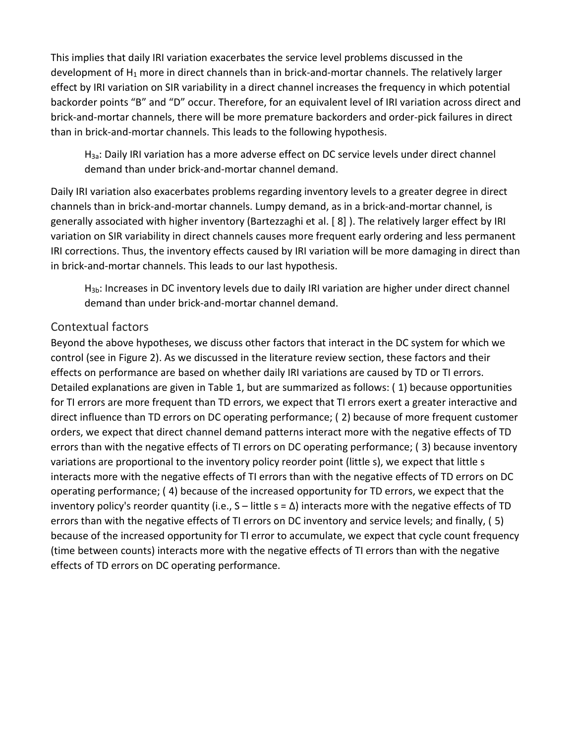This implies that daily IRI variation exacerbates the service level problems discussed in the development of  $H_1$  more in direct channels than in brick-and-mortar channels. The relatively larger effect by IRI variation on SIR variability in a direct channel increases the frequency in which potential backorder points "B" and "D" occur. Therefore, for an equivalent level of IRI variation across direct and brick‐and‐mortar channels, there will be more premature backorders and order‐pick failures in direct than in brick‐and‐mortar channels. This leads to the following hypothesis.

H3a: Daily IRI variation has a more adverse effect on DC service levels under direct channel demand than under brick‐and‐mortar channel demand.

Daily IRI variation also exacerbates problems regarding inventory levels to a greater degree in direct channels than in brick‐and‐mortar channels. Lumpy demand, as in a brick‐and‐mortar channel, is generally associated with higher inventory (Bartezzaghi et al. [ 8] ). The relatively larger effect by IRI variation on SIR variability in direct channels causes more frequent early ordering and less permanent IRI corrections. Thus, the inventory effects caused by IRI variation will be more damaging in direct than in brick‐and‐mortar channels. This leads to our last hypothesis.

H3b: Increases in DC inventory levels due to daily IRI variation are higher under direct channel demand than under brick‐and‐mortar channel demand.

#### Contextual factors

Beyond the above hypotheses, we discuss other factors that interact in the DC system for which we control (see in Figure 2). As we discussed in the literature review section, these factors and their effects on performance are based on whether daily IRI variations are caused by TD or TI errors. Detailed explanations are given in Table 1, but are summarized as follows: ( 1) because opportunities for TI errors are more frequent than TD errors, we expect that TI errors exert a greater interactive and direct influence than TD errors on DC operating performance; ( 2) because of more frequent customer orders, we expect that direct channel demand patterns interact more with the negative effects of TD errors than with the negative effects of TI errors on DC operating performance; ( 3) because inventory variations are proportional to the inventory policy reorder point (little s), we expect that little s interacts more with the negative effects of TI errors than with the negative effects of TD errors on DC operating performance; ( 4) because of the increased opportunity for TD errors, we expect that the inventory policy's reorder quantity (i.e.,  $S$  – little  $s = \Delta$ ) interacts more with the negative effects of TD errors than with the negative effects of TI errors on DC inventory and service levels; and finally, ( 5) because of the increased opportunity for TI error to accumulate, we expect that cycle count frequency (time between counts) interacts more with the negative effects of TI errors than with the negative effects of TD errors on DC operating performance.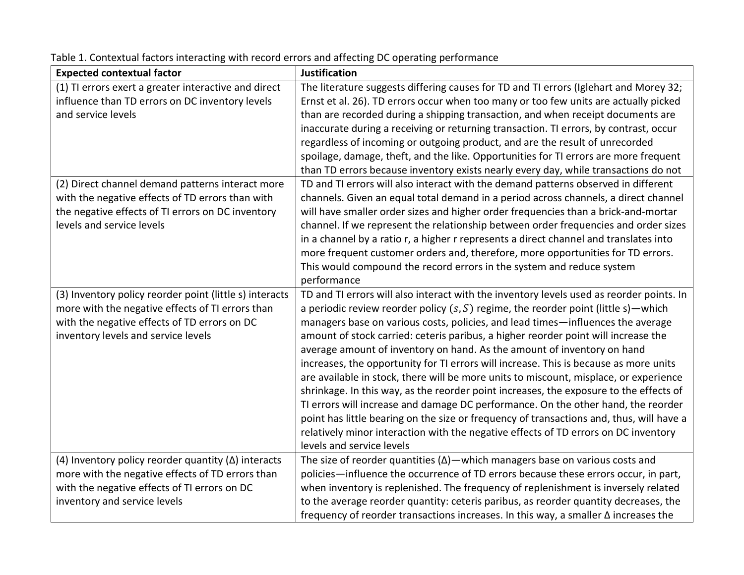| <b>Expected contextual factor</b>                          | <b>Justification</b>                                                                       |
|------------------------------------------------------------|--------------------------------------------------------------------------------------------|
| (1) TI errors exert a greater interactive and direct       | The literature suggests differing causes for TD and TI errors (Iglehart and Morey 32;      |
| influence than TD errors on DC inventory levels            | Ernst et al. 26). TD errors occur when too many or too few units are actually picked       |
| and service levels                                         | than are recorded during a shipping transaction, and when receipt documents are            |
|                                                            | inaccurate during a receiving or returning transaction. TI errors, by contrast, occur      |
|                                                            | regardless of incoming or outgoing product, and are the result of unrecorded               |
|                                                            | spoilage, damage, theft, and the like. Opportunities for TI errors are more frequent       |
|                                                            | than TD errors because inventory exists nearly every day, while transactions do not        |
| (2) Direct channel demand patterns interact more           | TD and TI errors will also interact with the demand patterns observed in different         |
| with the negative effects of TD errors than with           | channels. Given an equal total demand in a period across channels, a direct channel        |
| the negative effects of TI errors on DC inventory          | will have smaller order sizes and higher order frequencies than a brick-and-mortar         |
| levels and service levels                                  | channel. If we represent the relationship between order frequencies and order sizes        |
|                                                            | in a channel by a ratio r, a higher r represents a direct channel and translates into      |
|                                                            | more frequent customer orders and, therefore, more opportunities for TD errors.            |
|                                                            | This would compound the record errors in the system and reduce system                      |
|                                                            | performance                                                                                |
| (3) Inventory policy reorder point (little s) interacts    | TD and TI errors will also interact with the inventory levels used as reorder points. In   |
| more with the negative effects of TI errors than           | a periodic review reorder policy $(s, S)$ regime, the reorder point (little s) — which     |
| with the negative effects of TD errors on DC               | managers base on various costs, policies, and lead times-influences the average            |
| inventory levels and service levels                        | amount of stock carried: ceteris paribus, a higher reorder point will increase the         |
|                                                            | average amount of inventory on hand. As the amount of inventory on hand                    |
|                                                            | increases, the opportunity for TI errors will increase. This is because as more units      |
|                                                            | are available in stock, there will be more units to miscount, misplace, or experience      |
|                                                            | shrinkage. In this way, as the reorder point increases, the exposure to the effects of     |
|                                                            | TI errors will increase and damage DC performance. On the other hand, the reorder          |
|                                                            | point has little bearing on the size or frequency of transactions and, thus, will have a   |
|                                                            | relatively minor interaction with the negative effects of TD errors on DC inventory        |
|                                                            | levels and service levels                                                                  |
| (4) Inventory policy reorder quantity $(\Delta)$ interacts | The size of reorder quantities $(\Delta)$ — which managers base on various costs and       |
| more with the negative effects of TD errors than           | policies-influence the occurrence of TD errors because these errors occur, in part,        |
| with the negative effects of TI errors on DC               | when inventory is replenished. The frequency of replenishment is inversely related         |
| inventory and service levels                               | to the average reorder quantity: ceteris paribus, as reorder quantity decreases, the       |
|                                                            | frequency of reorder transactions increases. In this way, a smaller $\Delta$ increases the |

Table 1. Contextual factors interacting with record errors and affecting DC operating performance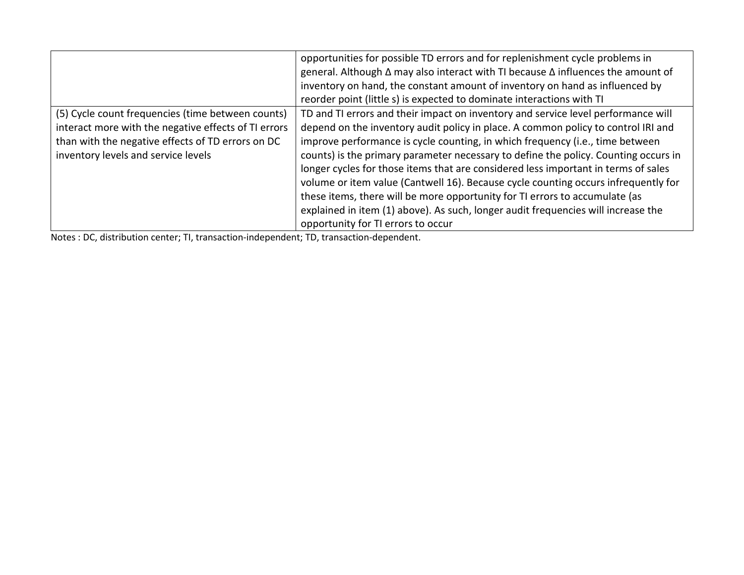|                                                      | opportunities for possible TD errors and for replenishment cycle problems in                   |
|------------------------------------------------------|------------------------------------------------------------------------------------------------|
|                                                      | general. Although $\Delta$ may also interact with TI because $\Delta$ influences the amount of |
|                                                      | inventory on hand, the constant amount of inventory on hand as influenced by                   |
|                                                      | reorder point (little s) is expected to dominate interactions with TI                          |
| (5) Cycle count frequencies (time between counts)    | TD and TI errors and their impact on inventory and service level performance will              |
| interact more with the negative effects of TI errors | depend on the inventory audit policy in place. A common policy to control IRI and              |
| than with the negative effects of TD errors on DC    | improve performance is cycle counting, in which frequency (i.e., time between                  |
| inventory levels and service levels                  | counts) is the primary parameter necessary to define the policy. Counting occurs in            |
|                                                      | longer cycles for those items that are considered less important in terms of sales             |
|                                                      | volume or item value (Cantwell 16). Because cycle counting occurs infrequently for             |
|                                                      | these items, there will be more opportunity for TI errors to accumulate (as                    |
|                                                      | explained in item (1) above). As such, longer audit frequencies will increase the              |
|                                                      | opportunity for TI errors to occur                                                             |

Notes : DC, distribution center; TI, transaction‐independent; TD, transaction‐dependent.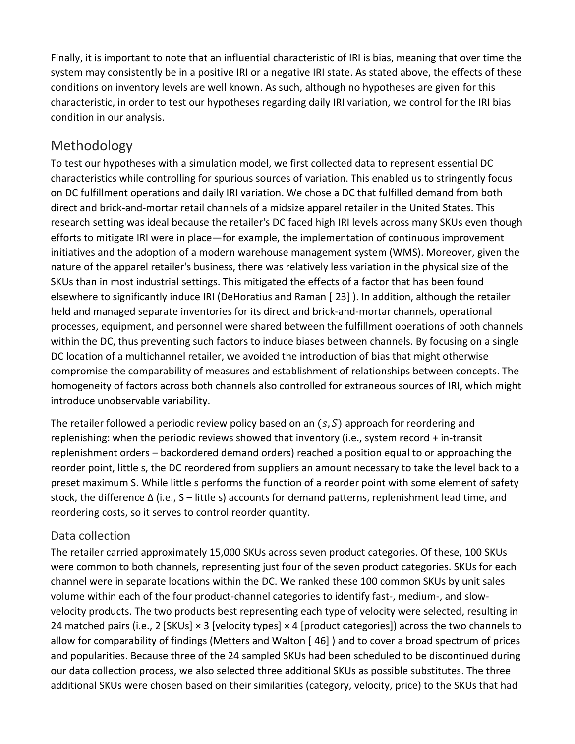Finally, it is important to note that an influential characteristic of IRI is bias, meaning that over time the system may consistently be in a positive IRI or a negative IRI state. As stated above, the effects of these conditions on inventory levels are well known. As such, although no hypotheses are given for this characteristic, in order to test our hypotheses regarding daily IRI variation, we control for the IRI bias condition in our analysis.

# Methodology

To test our hypotheses with a simulation model, we first collected data to represent essential DC characteristics while controlling for spurious sources of variation. This enabled us to stringently focus on DC fulfillment operations and daily IRI variation. We chose a DC that fulfilled demand from both direct and brick‐and‐mortar retail channels of a midsize apparel retailer in the United States. This research setting was ideal because the retailer's DC faced high IRI levels across many SKUs even though efforts to mitigate IRI were in place—for example, the implementation of continuous improvement initiatives and the adoption of a modern warehouse management system (WMS). Moreover, given the nature of the apparel retailer's business, there was relatively less variation in the physical size of the SKUs than in most industrial settings. This mitigated the effects of a factor that has been found elsewhere to significantly induce IRI (DeHoratius and Raman [ 23] ). In addition, although the retailer held and managed separate inventories for its direct and brick‐and‐mortar channels, operational processes, equipment, and personnel were shared between the fulfillment operations of both channels within the DC, thus preventing such factors to induce biases between channels. By focusing on a single DC location of a multichannel retailer, we avoided the introduction of bias that might otherwise compromise the comparability of measures and establishment of relationships between concepts. The homogeneity of factors across both channels also controlled for extraneous sources of IRI, which might introduce unobservable variability.

The retailer followed a periodic review policy based on an  $(s, S)$  approach for reordering and replenishing: when the periodic reviews showed that inventory (i.e., system record + in‐transit replenishment orders – backordered demand orders) reached a position equal to or approaching the reorder point, little s, the DC reordered from suppliers an amount necessary to take the level back to a preset maximum S. While little s performs the function of a reorder point with some element of safety stock, the difference Δ (i.e., S – little s) accounts for demand patterns, replenishment lead time, and reordering costs, so it serves to control reorder quantity.

## Data collection

The retailer carried approximately 15,000 SKUs across seven product categories. Of these, 100 SKUs were common to both channels, representing just four of the seven product categories. SKUs for each channel were in separate locations within the DC. We ranked these 100 common SKUs by unit sales volume within each of the four product‐channel categories to identify fast‐, medium‐, and slow‐ velocity products. The two products best representing each type of velocity were selected, resulting in 24 matched pairs (i.e., 2 [SKUs]  $\times$  3 [velocity types]  $\times$  4 [product categories]) across the two channels to allow for comparability of findings (Metters and Walton [ 46] ) and to cover a broad spectrum of prices and popularities. Because three of the 24 sampled SKUs had been scheduled to be discontinued during our data collection process, we also selected three additional SKUs as possible substitutes. The three additional SKUs were chosen based on their similarities (category, velocity, price) to the SKUs that had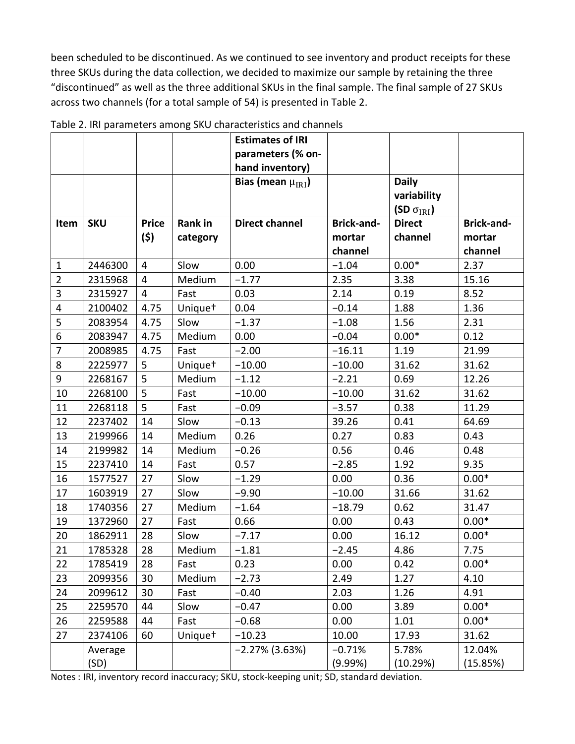been scheduled to be discontinued. As we continued to see inventory and product receipts for these three SKUs during the data collection, we decided to maximize our sample by retaining the three "discontinued" as well as the three additional SKUs in the final sample. The final sample of 27 SKUs across two channels (for a total sample of 54) is presented in Table 2.

|                         |            |                |                     | <b>Estimates of IRI</b>  |                   |                      |                   |
|-------------------------|------------|----------------|---------------------|--------------------------|-------------------|----------------------|-------------------|
|                         |            |                |                     | parameters (% on-        |                   |                      |                   |
|                         |            |                |                     | hand inventory)          |                   |                      |                   |
|                         |            |                |                     | Bias (mean $\mu_{IRI}$ ) |                   | <b>Daily</b>         |                   |
|                         |            |                |                     |                          |                   | variability          |                   |
|                         |            |                |                     |                          |                   | (SD $\sigma_{IRI}$ ) |                   |
| Item                    | <b>SKU</b> | <b>Price</b>   | Rank in             | <b>Direct channel</b>    | <b>Brick-and-</b> | <b>Direct</b>        | <b>Brick-and-</b> |
|                         |            | (\$)           | category            |                          | mortar            | channel              | mortar            |
|                         |            |                |                     |                          | channel           |                      | channel           |
| $\mathbf{1}$            | 2446300    | $\overline{4}$ | Slow                | 0.00                     | $-1.04$           | $0.00*$              | 2.37              |
| $\overline{2}$          | 2315968    | $\overline{4}$ | Medium              | $-1.77$                  | 2.35              | 3.38                 | 15.16             |
| 3                       | 2315927    | 4              | Fast                | 0.03                     | 2.14              | 0.19                 | 8.52              |
| $\overline{\mathbf{4}}$ | 2100402    | 4.75           | Unique <sup>+</sup> | 0.04                     | $-0.14$           | 1.88                 | 1.36              |
| 5                       | 2083954    | 4.75           | Slow                | $-1.37$                  | $-1.08$           | 1.56                 | 2.31              |
| 6                       | 2083947    | 4.75           | Medium              | 0.00                     | $-0.04$           | $0.00*$              | 0.12              |
| $\overline{7}$          | 2008985    | 4.75           | Fast                | $-2.00$                  | $-16.11$          | 1.19                 | 21.99             |
| 8                       | 2225977    | 5              | Unique <sup>+</sup> | $-10.00$                 | $-10.00$          | 31.62                | 31.62             |
| 9                       | 2268167    | 5              | Medium              | $-1.12$                  | $-2.21$           | 0.69                 | 12.26             |
| 10                      | 2268100    | 5              | Fast                | $-10.00$                 | $-10.00$          | 31.62                | 31.62             |
| 11                      | 2268118    | 5              | Fast                | $-0.09$                  | $-3.57$           | 0.38                 | 11.29             |
| 12                      | 2237402    | 14             | Slow                | $-0.13$                  | 39.26             | 0.41                 | 64.69             |
| 13                      | 2199966    | 14             | Medium              | 0.26                     | 0.27              | 0.83                 | 0.43              |
| 14                      | 2199982    | 14             | Medium              | $-0.26$                  | 0.56              | 0.46                 | 0.48              |
| 15                      | 2237410    | 14             | Fast                | 0.57                     | $-2.85$           | 1.92                 | 9.35              |
| 16                      | 1577527    | 27             | Slow                | $-1.29$                  | 0.00              | 0.36                 | $0.00*$           |
| 17                      | 1603919    | 27             | Slow                | $-9.90$                  | $-10.00$          | 31.66                | 31.62             |
| 18                      | 1740356    | 27             | Medium              | $-1.64$                  | $-18.79$          | 0.62                 | 31.47             |
| 19                      | 1372960    | 27             | Fast                | 0.66                     | 0.00              | 0.43                 | $0.00*$           |
| 20                      | 1862911    | 28             | Slow                | $-7.17$                  | 0.00              | 16.12                | $0.00*$           |
| 21                      | 1785328    | 28             | Medium              | $-1.81$                  | $-2.45$           | 4.86                 | 7.75              |
| 22                      | 1785419    | 28             | Fast                | 0.23                     | 0.00              | 0.42                 | $0.00*$           |
| 23                      | 2099356    | 30             | Medium              | $-2.73$                  | 2.49              | 1.27                 | 4.10              |
| 24                      | 2099612    | 30             | Fast                | $-0.40$                  | 2.03              | 1.26                 | 4.91              |
| 25                      | 2259570    | 44             | Slow                | $-0.47$                  | 0.00              | 3.89                 | $0.00*$           |
| 26                      | 2259588    | 44             | Fast                | $-0.68$                  | 0.00              | 1.01                 | $0.00*$           |
| 27                      | 2374106    | 60             | Unique <sup>+</sup> | $-10.23$                 | 10.00             | 17.93                | 31.62             |
|                         | Average    |                |                     | $-2.27\%$ (3.63%)        | $-0.71%$          | 5.78%                | 12.04%            |
|                         | (SD)       |                |                     |                          | (9.99%)           | (10.29%)             | (15.85%)          |

Table 2. IRI parameters among SKU characteristics and channels

Notes : IRI, inventory record inaccuracy; SKU, stock‐keeping unit; SD, standard deviation.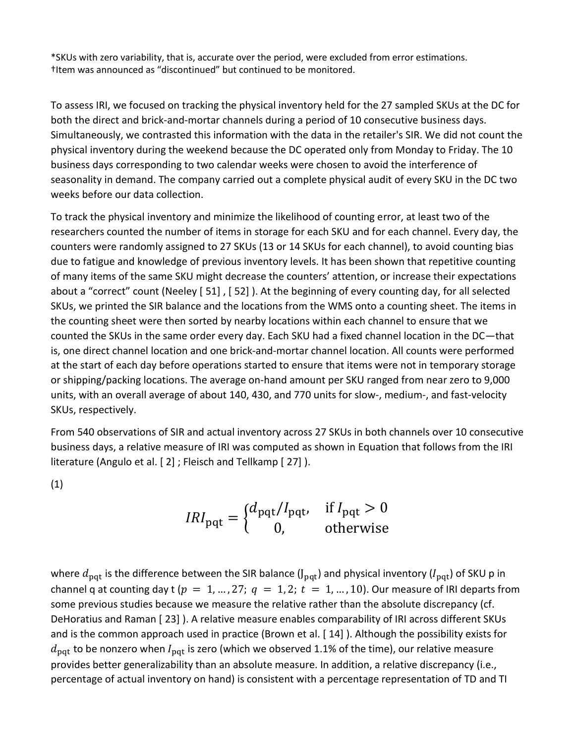\*SKUs with zero variability, that is, accurate over the period, were excluded from error estimations. †Item was announced as "discontinued" but continued to be monitored.

To assess IRI, we focused on tracking the physical inventory held for the 27 sampled SKUs at the DC for both the direct and brick‐and‐mortar channels during a period of 10 consecutive business days. Simultaneously, we contrasted this information with the data in the retailer's SIR. We did not count the physical inventory during the weekend because the DC operated only from Monday to Friday. The 10 business days corresponding to two calendar weeks were chosen to avoid the interference of seasonality in demand. The company carried out a complete physical audit of every SKU in the DC two weeks before our data collection.

To track the physical inventory and minimize the likelihood of counting error, at least two of the researchers counted the number of items in storage for each SKU and for each channel. Every day, the counters were randomly assigned to 27 SKUs (13 or 14 SKUs for each channel), to avoid counting bias due to fatigue and knowledge of previous inventory levels. It has been shown that repetitive counting of many items of the same SKU might decrease the counters' attention, or increase their expectations about a "correct" count (Neeley [51], [52]). At the beginning of every counting day, for all selected SKUs, we printed the SIR balance and the locations from the WMS onto a counting sheet. The items in the counting sheet were then sorted by nearby locations within each channel to ensure that we counted the SKUs in the same order every day. Each SKU had a fixed channel location in the DC—that is, one direct channel location and one brick‐and‐mortar channel location. All counts were performed at the start of each day before operations started to ensure that items were not in temporary storage or shipping/packing locations. The average on‐hand amount per SKU ranged from near zero to 9,000 units, with an overall average of about 140, 430, and 770 units for slow-, medium-, and fast-velocity SKUs, respectively.

From 540 observations of SIR and actual inventory across 27 SKUs in both channels over 10 consecutive business days, a relative measure of IRI was computed as shown in Equation that follows from the IRI literature (Angulo et al. [ 2] ; Fleisch and Tellkamp [ 27] ).

(1)

$$
IRI_{\text{pqt}} = \begin{cases} d_{\text{pqt}}/I_{\text{pqt}}, & \text{if } I_{\text{pqt}} > 0\\ 0, & \text{otherwise} \end{cases}
$$

where  $d_{\text{pat}}$  is the difference between the SIR balance (J<sub>pqt</sub>) and physical inventory ( $I_{\text{pat}}$ ) of SKU p in channel q at counting day t ( $p = 1, ..., 27$ ;  $q = 1, 2$ ;  $t = 1, ..., 10$ ). Our measure of IRI departs from some previous studies because we measure the relative rather than the absolute discrepancy (cf. DeHoratius and Raman [ 23] ). A relative measure enables comparability of IRI across different SKUs and is the common approach used in practice (Brown et al. [ 14] ). Although the possibility exists for  $d_{\text{pqt}}$  to be nonzero when  $I_{\text{pqt}}$  is zero (which we observed 1.1% of the time), our relative measure provides better generalizability than an absolute measure. In addition, a relative discrepancy (i.e., percentage of actual inventory on hand) is consistent with a percentage representation of TD and TI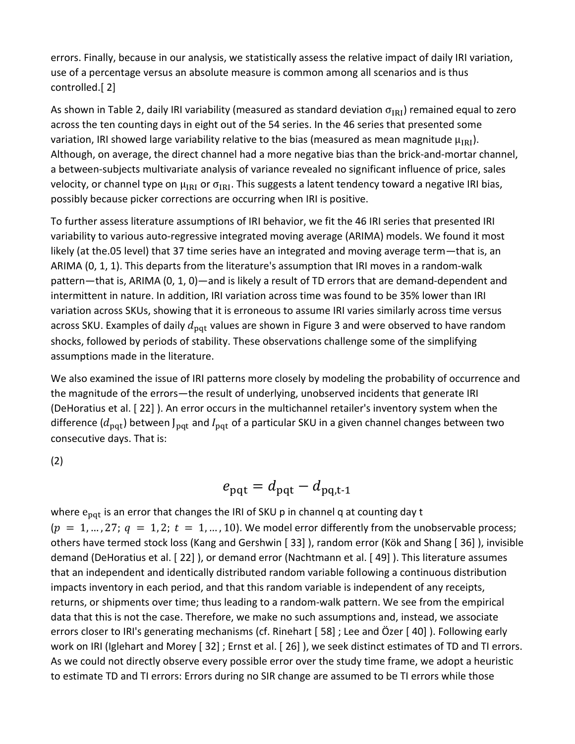errors. Finally, because in our analysis, we statistically assess the relative impact of daily IRI variation, use of a percentage versus an absolute measure is common among all scenarios and is thus controlled.[ 2]

As shown in Table 2, daily IRI variability (measured as standard deviation  $\sigma_{IRI}$ ) remained equal to zero across the ten counting days in eight out of the 54 series. In the 46 series that presented some variation, IRI showed large variability relative to the bias (measured as mean magnitude  $\mu_{IRI}$ ). Although, on average, the direct channel had a more negative bias than the brick‐and‐mortar channel, a between‐subjects multivariate analysis of variance revealed no significant influence of price, sales velocity, or channel type on  $\mu_{IRI}$  or  $\sigma_{IRI}$ . This suggests a latent tendency toward a negative IRI bias, possibly because picker corrections are occurring when IRI is positive.

To further assess literature assumptions of IRI behavior, we fit the 46 IRI series that presented IRI variability to various auto‐regressive integrated moving average (ARIMA) models. We found it most likely (at the.05 level) that 37 time series have an integrated and moving average term—that is, an ARIMA (0, 1, 1). This departs from the literature's assumption that IRI moves in a random‐walk pattern—that is, ARIMA (0, 1, 0)—and is likely a result of TD errors that are demand-dependent and intermittent in nature. In addition, IRI variation across time was found to be 35% lower than IRI variation across SKUs, showing that it is erroneous to assume IRI varies similarly across time versus across SKU. Examples of daily  $d_{\text{pat}}$  values are shown in Figure 3 and were observed to have random shocks, followed by periods of stability. These observations challenge some of the simplifying assumptions made in the literature.

We also examined the issue of IRI patterns more closely by modeling the probability of occurrence and the magnitude of the errors—the result of underlying, unobserved incidents that generate IRI (DeHoratius et al. [ 22] ). An error occurs in the multichannel retailer's inventory system when the difference ( $d_{\text{pat}}$ ) between J<sub>pqt</sub> and I<sub>pqt</sub> of a particular SKU in a given channel changes between two consecutive days. That is:

(2)

$$
e_{\rm pqt} = d_{\rm pqt} - d_{\rm pq,t-1}
$$

where  $e_{pat}$  is an error that changes the IRI of SKU p in channel q at counting day t  $(p = 1, ..., 27; q = 1, 2; t = 1, ..., 10)$ . We model error differently from the unobservable process; others have termed stock loss (Kang and Gershwin [ 33] ), random error (Kök and Shang [ 36] ), invisible demand (DeHoratius et al. [ 22] ), or demand error (Nachtmann et al. [ 49] ). This literature assumes that an independent and identically distributed random variable following a continuous distribution impacts inventory in each period, and that this random variable is independent of any receipts, returns, or shipments over time; thus leading to a random‐walk pattern. We see from the empirical data that this is not the case. Therefore, we make no such assumptions and, instead, we associate errors closer to IRI's generating mechanisms (cf. Rinehart [ 58] ; Lee and Özer [ 40] ). Following early work on IRI (Iglehart and Morey [ 32] ; Ernst et al. [ 26] ), we seek distinct estimates of TD and TI errors. As we could not directly observe every possible error over the study time frame, we adopt a heuristic to estimate TD and TI errors: Errors during no SIR change are assumed to be TI errors while those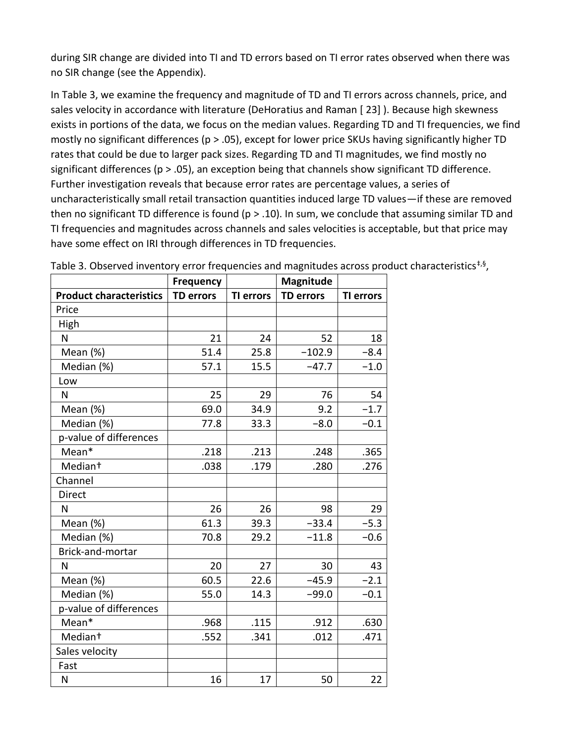during SIR change are divided into TI and TD errors based on TI error rates observed when there was no SIR change (see the Appendix).

In Table 3, we examine the frequency and magnitude of TD and TI errors across channels, price, and sales velocity in accordance with literature (DeHoratius and Raman [ 23] ). Because high skewness exists in portions of the data, we focus on the median values. Regarding TD and TI frequencies, we find mostly no significant differences (p > .05), except for lower price SKUs having significantly higher TD rates that could be due to larger pack sizes. Regarding TD and TI magnitudes, we find mostly no significant differences (p > .05), an exception being that channels show significant TD difference. Further investigation reveals that because error rates are percentage values, a series of uncharacteristically small retail transaction quantities induced large TD values—if these are removed then no significant TD difference is found ( $p > .10$ ). In sum, we conclude that assuming similar TD and TI frequencies and magnitudes across channels and sales velocities is acceptable, but that price may have some effect on IRI through differences in TD frequencies.

|                                | <b>Frequency</b> |                  | Magnitude        |                  |
|--------------------------------|------------------|------------------|------------------|------------------|
| <b>Product characteristics</b> | <b>TD errors</b> | <b>TI errors</b> | <b>TD errors</b> | <b>TI errors</b> |
| Price                          |                  |                  |                  |                  |
| High                           |                  |                  |                  |                  |
| N                              | 21               | 24               | 52               | 18               |
| Mean $(%)$                     | 51.4             | 25.8             | $-102.9$         | $-8.4$           |
| Median (%)                     | 57.1             | 15.5             | $-47.7$          | $-1.0$           |
| Low                            |                  |                  |                  |                  |
| N                              | 25               | 29               | 76               | 54               |
| Mean $(%)$                     | 69.0             | 34.9             | 9.2              | $-1.7$           |
| Median (%)                     | 77.8             | 33.3             | $-8.0$           | $-0.1$           |
| p-value of differences         |                  |                  |                  |                  |
| Mean*                          | .218             | .213             | .248             | .365             |
| Median <sup>+</sup>            | .038             | .179             | .280             | .276             |
| Channel                        |                  |                  |                  |                  |
| <b>Direct</b>                  |                  |                  |                  |                  |
| N                              | 26               | 26               | 98               | 29               |
| Mean (%)                       | 61.3             | 39.3             | $-33.4$          | $-5.3$           |
| Median (%)                     | 70.8             | 29.2             | $-11.8$          | $-0.6$           |
| Brick-and-mortar               |                  |                  |                  |                  |
| N                              | 20               | 27               | 30               | 43               |
| Mean (%)                       | 60.5             | 22.6             | $-45.9$          | $-2.1$           |
| Median (%)                     | 55.0             | 14.3             | $-99.0$          | $-0.1$           |
| p-value of differences         |                  |                  |                  |                  |
| Mean*                          | .968             | .115             | .912             | .630             |
| Median <sup>+</sup>            | .552             | .341             | .012             | .471             |
| Sales velocity                 |                  |                  |                  |                  |
| Fast                           |                  |                  |                  |                  |
| N                              | 16               | 17               | 50               | 22               |

Table 3. Observed inventory error frequencies and magnitudes across product characteristics<sup>‡,§</sup>,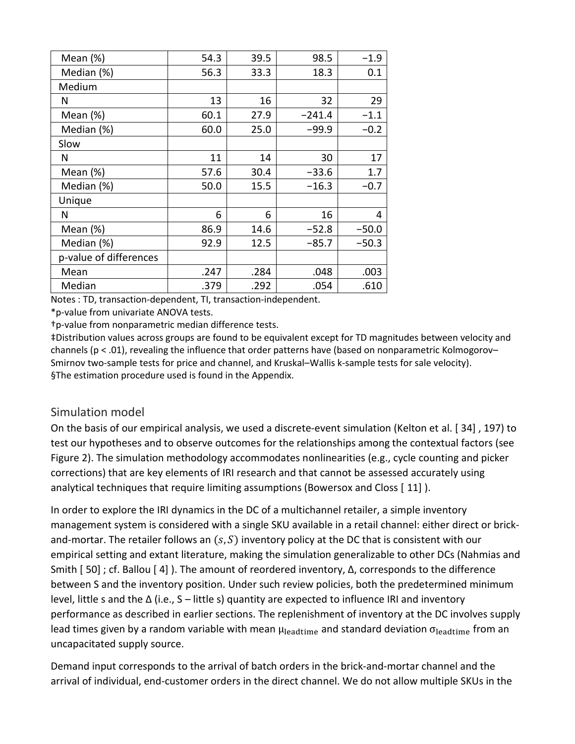| Mean $(\%)$            | 54.3 | 39.5 | 98.5     | $-1.9$  |
|------------------------|------|------|----------|---------|
| Median (%)             | 56.3 | 33.3 | 18.3     | 0.1     |
| Medium                 |      |      |          |         |
| N                      | 13   | 16   | 32       | 29      |
| Mean $(\%)$            | 60.1 | 27.9 | $-241.4$ | $-1.1$  |
| Median (%)             | 60.0 | 25.0 | $-99.9$  | $-0.2$  |
| Slow                   |      |      |          |         |
| N                      | 11   | 14   | 30       | 17      |
| Mean $(\%)$            | 57.6 | 30.4 | $-33.6$  | 1.7     |
| Median (%)             | 50.0 | 15.5 | $-16.3$  | $-0.7$  |
| Unique                 |      |      |          |         |
| N                      | 6    | 6    | 16       | 4       |
| Mean $(\%)$            | 86.9 | 14.6 | $-52.8$  | $-50.0$ |
| Median (%)             | 92.9 | 12.5 | $-85.7$  | $-50.3$ |
| p-value of differences |      |      |          |         |
| Mean                   | .247 | .284 | .048     | .003    |
| Median                 | .379 | .292 | .054     | .610    |

Notes : TD, transaction‐dependent, TI, transaction‐independent.

\*p‐value from univariate ANOVA tests.

†p‐value from nonparametric median difference tests.

‡Distribution values across groups are found to be equivalent except for TD magnitudes between velocity and channels (p < .01), revealing the influence that order patterns have (based on nonparametric Kolmogorov– Smirnov two-sample tests for price and channel, and Kruskal–Wallis k-sample tests for sale velocity). §The estimation procedure used is found in the Appendix.

#### Simulation model

On the basis of our empirical analysis, we used a discrete‐event simulation (Kelton et al. [ 34] , 197) to test our hypotheses and to observe outcomes for the relationships among the contextual factors (see Figure 2). The simulation methodology accommodates nonlinearities (e.g., cycle counting and picker corrections) that are key elements of IRI research and that cannot be assessed accurately using analytical techniques that require limiting assumptions (Bowersox and Closs [ 11] ).

In order to explore the IRI dynamics in the DC of a multichannel retailer, a simple inventory management system is considered with a single SKU available in a retail channel: either direct or brick‐ and-mortar. The retailer follows an  $(s, S)$  inventory policy at the DC that is consistent with our empirical setting and extant literature, making the simulation generalizable to other DCs (Nahmias and Smith [ 50] ; cf. Ballou [ 4] ). The amount of reordered inventory, Δ, corresponds to the difference between S and the inventory position. Under such review policies, both the predetermined minimum level, little s and the Δ (i.e., S – little s) quantity are expected to influence IRI and inventory performance as described in earlier sections. The replenishment of inventory at the DC involves supply lead times given by a random variable with mean  $\mu_{\rm{leading}}$  and standard deviation  $\sigma_{\rm{leading}}$  from an uncapacitated supply source.

Demand input corresponds to the arrival of batch orders in the brick‐and‐mortar channel and the arrival of individual, end‐customer orders in the direct channel. We do not allow multiple SKUs in the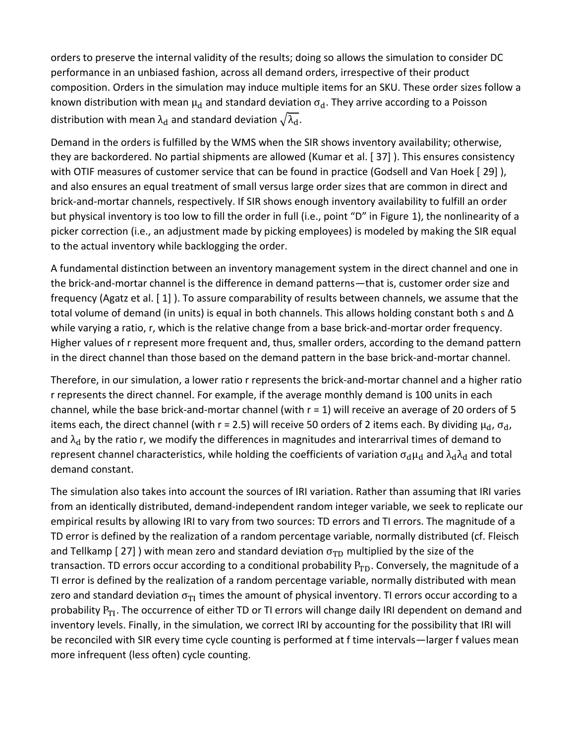orders to preserve the internal validity of the results; doing so allows the simulation to consider DC performance in an unbiased fashion, across all demand orders, irrespective of their product composition. Orders in the simulation may induce multiple items for an SKU. These order sizes follow a known distribution with mean  $\mu_d$  and standard deviation  $\sigma_d$ . They arrive according to a Poisson distribution with mean  $\lambda_d$  and standard deviation  $\sqrt{\lambda_d}$ .

Demand in the orders is fulfilled by the WMS when the SIR shows inventory availability; otherwise, they are backordered. No partial shipments are allowed (Kumar et al. [ 37] ). This ensures consistency with OTIF measures of customer service that can be found in practice (Godsell and Van Hoek [29]), and also ensures an equal treatment of small versus large order sizes that are common in direct and brick‐and‐mortar channels, respectively. If SIR shows enough inventory availability to fulfill an order but physical inventory is too low to fill the order in full (i.e., point "D" in Figure 1), the nonlinearity of a picker correction (i.e., an adjustment made by picking employees) is modeled by making the SIR equal to the actual inventory while backlogging the order.

A fundamental distinction between an inventory management system in the direct channel and one in the brick‐and‐mortar channel is the difference in demand patterns—that is, customer order size and frequency (Agatz et al. [ 1] ). To assure comparability of results between channels, we assume that the total volume of demand (in units) is equal in both channels. This allows holding constant both s and Δ while varying a ratio, r, which is the relative change from a base brick-and-mortar order frequency. Higher values of r represent more frequent and, thus, smaller orders, according to the demand pattern in the direct channel than those based on the demand pattern in the base brick‐and‐mortar channel.

Therefore, in our simulation, a lower ratio r represents the brick‐and‐mortar channel and a higher ratio r represents the direct channel. For example, if the average monthly demand is 100 units in each channel, while the base brick‐and‐mortar channel (with r = 1) will receive an average of 20 orders of 5 items each, the direct channel (with r = 2.5) will receive 50 orders of 2 items each. By dividing  $\mu_d$ ,  $\sigma_d$ , and  $\lambda_d$  by the ratio r, we modify the differences in magnitudes and interarrival times of demand to represent channel characteristics, while holding the coefficients of variation  $\sigma_d\mu_d$  and  $\lambda_d\lambda_d$  and total demand constant.

The simulation also takes into account the sources of IRI variation. Rather than assuming that IRI varies from an identically distributed, demand‐independent random integer variable, we seek to replicate our empirical results by allowing IRI to vary from two sources: TD errors and TI errors. The magnitude of a TD error is defined by the realization of a random percentage variable, normally distributed (cf. Fleisch and Tellkamp [27]) with mean zero and standard deviation  $\sigma_{TD}$  multiplied by the size of the transaction. TD errors occur according to a conditional probability  $P_{TD}$ . Conversely, the magnitude of a TI error is defined by the realization of a random percentage variable, normally distributed with mean zero and standard deviation  $\sigma_{TI}$  times the amount of physical inventory. TI errors occur according to a probability  $P_{TI}$ . The occurrence of either TD or TI errors will change daily IRI dependent on demand and inventory levels. Finally, in the simulation, we correct IRI by accounting for the possibility that IRI will be reconciled with SIR every time cycle counting is performed at f time intervals—larger f values mean more infrequent (less often) cycle counting.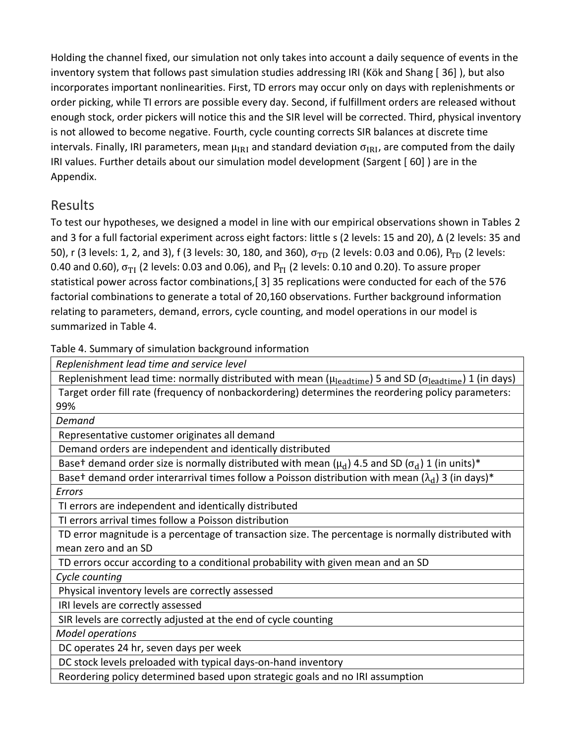Holding the channel fixed, our simulation not only takes into account a daily sequence of events in the inventory system that follows past simulation studies addressing IRI (Kök and Shang [ 36] ), but also incorporates important nonlinearities. First, TD errors may occur only on days with replenishments or order picking, while TI errors are possible every day. Second, if fulfillment orders are released without enough stock, order pickers will notice this and the SIR level will be corrected. Third, physical inventory is not allowed to become negative. Fourth, cycle counting corrects SIR balances at discrete time intervals. Finally, IRI parameters, mean  $\mu_{IRI}$  and standard deviation  $\sigma_{IRI}$ , are computed from the daily IRI values. Further details about our simulation model development (Sargent [ 60] ) are in the Appendix.

# Results

To test our hypotheses, we designed a model in line with our empirical observations shown in Tables 2 and 3 for a full factorial experiment across eight factors: little s (2 levels: 15 and 20), Δ (2 levels: 35 and 50), r (3 levels: 1, 2, and 3), f (3 levels: 30, 180, and 360),  $\sigma_{TD}$  (2 levels: 0.03 and 0.06),  $P_{TD}$  (2 levels: 0.40 and 0.60),  $\sigma_{TI}$  (2 levels: 0.03 and 0.06), and  $P_{TI}$  (2 levels: 0.10 and 0.20). To assure proper statistical power across factor combinations,[ 3] 35 replications were conducted for each of the 576 factorial combinations to generate a total of 20,160 observations. Further background information relating to parameters, demand, errors, cycle counting, and model operations in our model is summarized in Table 4.

Table 4. Summary of simulation background information

| Replenishment lead time and service level                                                                                                       |
|-------------------------------------------------------------------------------------------------------------------------------------------------|
| Replenishment lead time: normally distributed with mean ( $\mu_{\rm{leading}}$ ) 5 and SD ( $\sigma_{\rm{leading}}$ ) 1 (in days)               |
| Target order fill rate (frequency of nonbackordering) determines the reordering policy parameters:                                              |
| 99%                                                                                                                                             |
| Demand                                                                                                                                          |
| Representative customer originates all demand                                                                                                   |
| Demand orders are independent and identically distributed                                                                                       |
| Base <sup>+</sup> demand order size is normally distributed with mean ( $\mu$ <sub>d</sub> ) 4.5 and SD ( $\sigma$ <sub>d</sub> ) 1 (in units)* |
| Baset demand order interarrival times follow a Poisson distribution with mean $(\lambda_d)$ 3 (in days)*                                        |
| Errors                                                                                                                                          |
| TI errors are independent and identically distributed                                                                                           |
| TI errors arrival times follow a Poisson distribution                                                                                           |
| TD error magnitude is a percentage of transaction size. The percentage is normally distributed with                                             |
| mean zero and an SD                                                                                                                             |
| TD errors occur according to a conditional probability with given mean and an SD                                                                |
| Cycle counting                                                                                                                                  |
| Physical inventory levels are correctly assessed                                                                                                |
| IRI levels are correctly assessed                                                                                                               |
| SIR levels are correctly adjusted at the end of cycle counting                                                                                  |
| <b>Model operations</b>                                                                                                                         |
| DC operates 24 hr, seven days per week                                                                                                          |
| DC stock levels preloaded with typical days-on-hand inventory                                                                                   |
| Reordering policy determined based upon strategic goals and no IRI assumption                                                                   |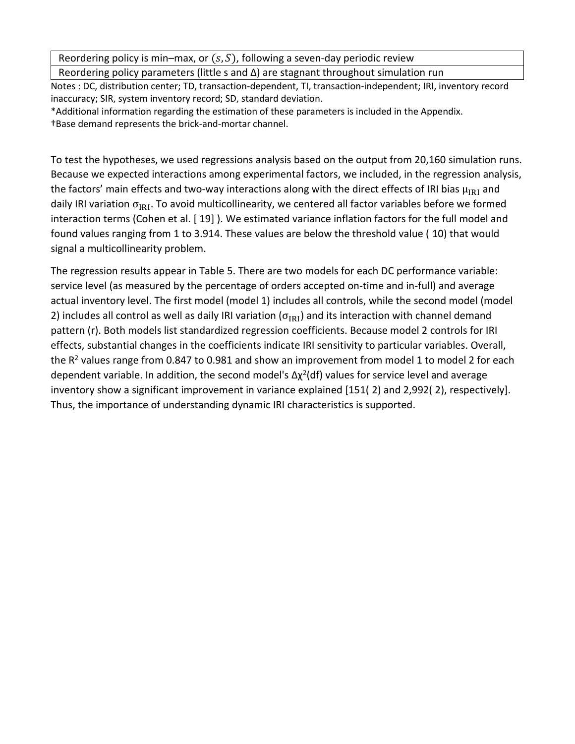Reordering policy is min–max, or  $(s, S)$ , following a seven-day periodic review

Reordering policy parameters (little s and Δ) are stagnant throughout simulation run

Notes : DC, distribution center; TD, transaction‐dependent, TI, transaction‐independent; IRI, inventory record inaccuracy; SIR, system inventory record; SD, standard deviation.

\*Additional information regarding the estimation of these parameters is included in the Appendix. †Base demand represents the brick‐and‐mortar channel.

To test the hypotheses, we used regressions analysis based on the output from 20,160 simulation runs. Because we expected interactions among experimental factors, we included, in the regression analysis, the factors' main effects and two-way interactions along with the direct effects of IRI bias  $\mu_{\text{IR}}$  and daily IRI variation  $\sigma_{IRI}$ . To avoid multicollinearity, we centered all factor variables before we formed interaction terms (Cohen et al. [ 19] ). We estimated variance inflation factors for the full model and found values ranging from 1 to 3.914. These values are below the threshold value ( 10) that would signal a multicollinearity problem.

The regression results appear in Table 5. There are two models for each DC performance variable: service level (as measured by the percentage of orders accepted on-time and in-full) and average actual inventory level. The first model (model 1) includes all controls, while the second model (model 2) includes all control as well as daily IRI variation ( $\sigma_{IRI}$ ) and its interaction with channel demand pattern (r). Both models list standardized regression coefficients. Because model 2 controls for IRI effects, substantial changes in the coefficients indicate IRI sensitivity to particular variables. Overall, the  $R^2$  values range from 0.847 to 0.981 and show an improvement from model 1 to model 2 for each dependent variable. In addition, the second model's  $\Delta \chi^2$ (df) values for service level and average inventory show a significant improvement in variance explained [151( 2) and 2,992( 2), respectively]. Thus, the importance of understanding dynamic IRI characteristics is supported.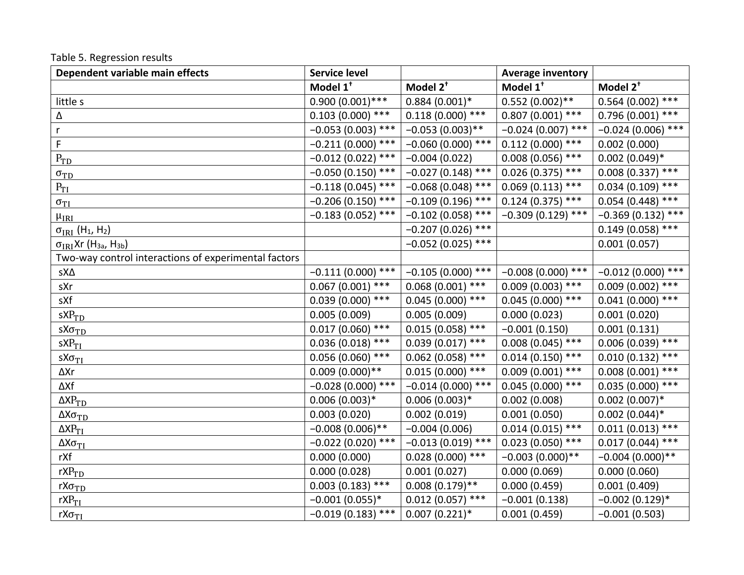Table 5. Regression results

| Dependent variable main effects                        | <b>Service level</b> |                      | <b>Average inventory</b> |                      |
|--------------------------------------------------------|----------------------|----------------------|--------------------------|----------------------|
|                                                        | Model 1 <sup>+</sup> | Model 2 <sup>+</sup> | Model 1 <sup>t</sup>     | Model 2 <sup>+</sup> |
| little s                                               | $0.900(0.001)$ ***   | $0.884(0.001)*$      | $0.552(0.002)$ **        | $0.564(0.002)$ ***   |
| Δ                                                      | $0.103(0.000)$ ***   | $0.118(0.000)$ ***   | $0.807(0.001)$ ***       | $0.796(0.001)$ ***   |
| $\mathsf{r}$                                           | $-0.053(0.003)$ ***  | $-0.053(0.003)$ **   | $-0.024(0.007)$ ***      | $-0.024(0.006)$ ***  |
| F                                                      | $-0.211(0.000)$ ***  | $-0.060(0.000)$ ***  | $0.112(0.000)$ ***       | 0.002(0.000)         |
| $P_{TD}$                                               | $-0.012(0.022)$ ***  | $-0.004(0.022)$      | $0.008(0.056)$ ***       | $0.002(0.049)*$      |
| $\sigma_{\rm TD}$                                      | $-0.050(0.150)$ ***  | $-0.027(0.148)$ ***  | $0.026(0.375)$ ***       | $0.008(0.337)$ ***   |
| $P_{TI}$                                               | $-0.118(0.045)$ ***  | $-0.068(0.048)$ ***  | $0.069(0.113)$ ***       | $0.034(0.109)$ ***   |
| $\sigma_{TI}$                                          | $-0.206(0.150)$ ***  | $-0.109(0.196)$ ***  | $0.124(0.375)$ ***       | $0.054(0.448)$ ***   |
| $\mu_{\rm IRI}$                                        | $-0.183(0.052)$ ***  | $-0.102(0.058)$ ***  | $-0.309(0.129)$ ***      | $-0.369(0.132)$ ***  |
| $\sigma_{\rm IRI}$ (H <sub>1</sub> , H <sub>2</sub> )  |                      | $-0.207(0.026)$ ***  |                          | $0.149(0.058)$ ***   |
| $\sigma_{IRI}$ Xr (H <sub>3a</sub> , H <sub>3b</sub> ) |                      | $-0.052(0.025)$ ***  |                          | 0.001(0.057)         |
| Two-way control interactions of experimental factors   |                      |                      |                          |                      |
| sΧΔ                                                    | $-0.111(0.000)$ ***  | $-0.105(0.000)$ ***  | $-0.008(0.000)$ ***      | $-0.012(0.000)$ ***  |
| sXr                                                    | $0.067(0.001)$ ***   | $0.068(0.001)$ ***   | $0.009(0.003)$ ***       | $0.009(0.002)$ ***   |
| sXf                                                    | $0.039(0.000)$ ***   | $0.045(0.000)$ ***   | $0.045(0.000)****$       | $0.041(0.000)$ ***   |
| $sXP_{TD}$                                             | 0.005(0.009)         | 0.005(0.009)         | 0.000(0.023)             | 0.001(0.020)         |
| $sX\sigma_{TD}$                                        | $0.017(0.060)$ ***   | $0.015(0.058)$ ***   | $-0.001(0.150)$          | 0.001(0.131)         |
| sXP <sub>TI</sub>                                      | $0.036(0.018)$ ***   | $0.039(0.017)$ ***   | $0.008(0.045)$ ***       | $0.006(0.039)$ ***   |
| $sX\sigma_{TI}$                                        | $0.056(0.060)$ ***   | $0.062$ (0.058) ***  | $0.014(0.150)$ ***       | $0.010(0.132)$ ***   |
| ∆Xr                                                    | $0.009(0.000)**$     | $0.015(0.000)$ ***   | $0.009(0.001)$ ***       | $0.008(0.001)$ ***   |
| ΔXf                                                    | $-0.028(0.000)$ ***  | $-0.014(0.000)$ ***  | $0.045(0.000)$ ***       | $0.035(0.000)$ ***   |
| $\Delta XP_{TD}$                                       | $0.006(0.003)*$      | $0.006(0.003)*$      | 0.002(0.008)             | $0.002(0.007)*$      |
| $\Delta X\sigma_{\rm TD}$                              | 0.003(0.020)         | 0.002(0.019)         | 0.001(0.050)             | $0.002(0.044)*$      |
| $\Delta XP_{TI}$                                       | $-0.008(0.006)$ **   | $-0.004(0.006)$      | $0.014(0.015)$ ***       | $0.011(0.013)$ ***   |
| $\Delta X\sigma_{TI}$                                  | $-0.022(0.020)$ ***  | $-0.013(0.019)$ ***  | $0.023(0.050)$ ***       | $0.017(0.044)$ ***   |
| rXf                                                    | 0.000(0.000)         | $0.028(0.000)$ ***   | $-0.003(0.000)**$        | $-0.004(0.000)**$    |
| $rXP_{TD}$                                             | 0.000(0.028)         | 0.001(0.027)         | 0.000(0.069)             | 0.000(0.060)         |
| $rX\sigma_{TD}$                                        | $0.003(0.183)$ ***   | $0.008(0.179)$ **    | 0.000(0.459)             | 0.001(0.409)         |
| $rXP_{TI}$                                             | $-0.001(0.055)*$     | $0.012(0.057)$ ***   | $-0.001(0.138)$          | $-0.002(0.129)*$     |
| $rX\sigma_{TI}$                                        | $-0.019(0.183)$ ***  | $0.007(0.221)*$      | 0.001(0.459)             | $-0.001(0.503)$      |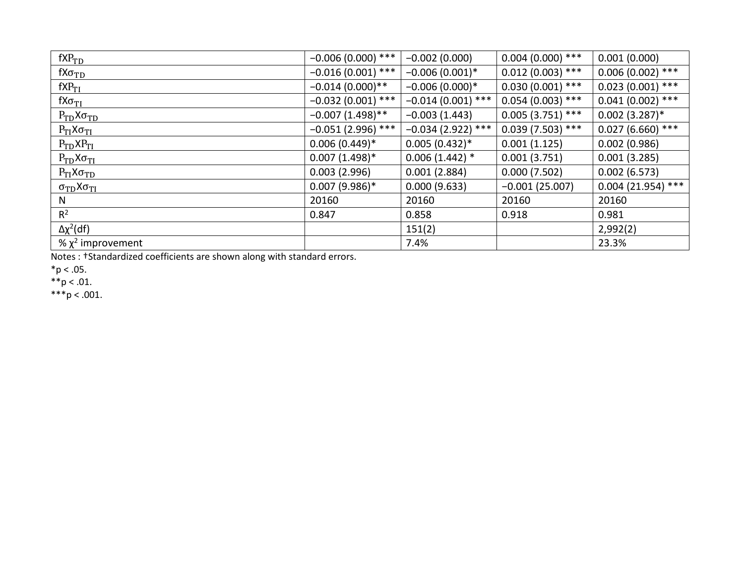| $fXP_{TD}$                            | $-0.006(0.000)$ *** | $-0.002(0.000)$     | $0.004(0.000)$ *** | 0.001(0.000)        |
|---------------------------------------|---------------------|---------------------|--------------------|---------------------|
| $fX\sigma_{TD}$                       | $-0.016(0.001)$ *** | $-0.006(0.001)^*$   | $0.012(0.003)$ *** | $0.006(0.002)$ ***  |
| $fXP_{TI}$                            | $-0.014(0.000)$ **  | $-0.006(0.000)*$    | $0.030(0.001)$ *** | $0.023(0.001)$ ***  |
| $fX\sigma_{TI}$                       | $-0.032(0.001)$ *** | $-0.014(0.001)$ *** | $0.054(0.003)$ *** | $0.041(0.002)$ ***  |
| $P_{TD}X\sigma_{TD}$                  | $-0.007(1.498)$ **  | $-0.003(1.443)$     | $0.005(3.751)$ *** | $0.002(3.287)^*$    |
| $P_{TI}X\sigma_{TI}$                  | $-0.051(2.996)$ *** | $-0.034(2.922)$ *** | $0.039(7.503)$ *** | $0.027(6.660)$ ***  |
| $P_{TD}XP_{TI}$                       | $0.006(0.449)*$     | $0.005(0.432)*$     | 0.001(1.125)       | 0.002(0.986)        |
| $P_{TD}X\sigma_{TI}$                  | $0.007(1.498)*$     | $0.006(1.442)*$     | 0.001(3.751)       | 0.001(3.285)        |
| $P_{TI}X\sigma_{TD}$                  | 0.003(2.996)        | 0.001(2.884)        | 0.000(7.502)       | 0.002(6.573)        |
| $\sigma_{\rm TD}$ Х $\sigma_{\rm TI}$ | $0.007(9.986)$ *    | 0.000(9.633)        | $-0.001(25.007)$   | $0.004(21.954)$ *** |
| N                                     | 20160               | 20160               | 20160              | 20160               |
| $R^2$                                 | 0.847               | 0.858               | 0.918              | 0.981               |
| $\Delta \chi^2$ (df)                  |                     | 151(2)              |                    | 2,992(2)            |
| % $\chi^2$ improvement                |                     | 7.4%                |                    | 23.3%               |

Notes : †Standardized coefficients are shown along with standard errors.

 $*p < .05$ .

\*\*p < .01.

\*\*\*p < .001.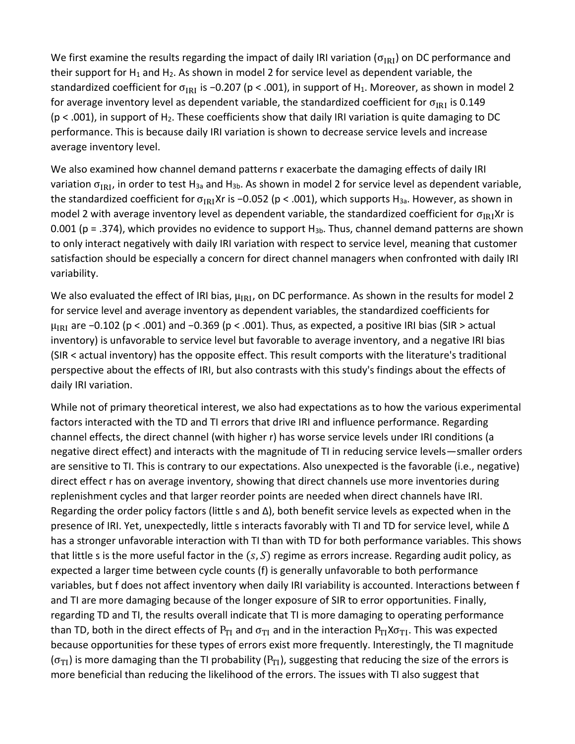We first examine the results regarding the impact of daily IRI variation ( $\sigma_{IRI}$ ) on DC performance and their support for  $H_1$  and  $H_2$ . As shown in model 2 for service level as dependent variable, the standardized coefficient for  $\sigma_{IRI}$  is −0.207 (p < .001), in support of H<sub>1</sub>. Moreover, as shown in model 2 for average inventory level as dependent variable, the standardized coefficient for  $\sigma_{IRI}$  is 0.149  $(p < .001)$ , in support of H<sub>2</sub>. These coefficients show that daily IRI variation is quite damaging to DC performance. This is because daily IRI variation is shown to decrease service levels and increase average inventory level.

We also examined how channel demand patterns r exacerbate the damaging effects of daily IRI variation σ<sub>IRI</sub>, in order to test H<sub>3a</sub> and H<sub>3b</sub>. As shown in model 2 for service level as dependent variable, the standardized coefficient for  $\sigma_{IRI}Xr$  is −0.052 (p < .001), which supports H<sub>3a</sub>. However, as shown in model 2 with average inventory level as dependent variable, the standardized coefficient for  $\sigma_{IR}$ Xr is 0.001 (p = .374), which provides no evidence to support  $H_{3b}$ . Thus, channel demand patterns are shown to only interact negatively with daily IRI variation with respect to service level, meaning that customer satisfaction should be especially a concern for direct channel managers when confronted with daily IRI variability.

We also evaluated the effect of IRI bias,  $\mu_{IRI}$ , on DC performance. As shown in the results for model 2 for service level and average inventory as dependent variables, the standardized coefficients for  $\mu_{IRI}$  are −0.102 (p < .001) and −0.369 (p < .001). Thus, as expected, a positive IRI bias (SIR > actual inventory) is unfavorable to service level but favorable to average inventory, and a negative IRI bias (SIR < actual inventory) has the opposite effect. This result comports with the literature's traditional perspective about the effects of IRI, but also contrasts with this study's findings about the effects of daily IRI variation.

While not of primary theoretical interest, we also had expectations as to how the various experimental factors interacted with the TD and TI errors that drive IRI and influence performance. Regarding channel effects, the direct channel (with higher r) has worse service levels under IRI conditions (a negative direct effect) and interacts with the magnitude of TI in reducing service levels—smaller orders are sensitive to TI. This is contrary to our expectations. Also unexpected is the favorable (i.e., negative) direct effect r has on average inventory, showing that direct channels use more inventories during replenishment cycles and that larger reorder points are needed when direct channels have IRI. Regarding the order policy factors (little s and Δ), both benefit service levels as expected when in the presence of IRI. Yet, unexpectedly, little s interacts favorably with TI and TD for service level, while Δ has a stronger unfavorable interaction with TI than with TD for both performance variables. This shows that little s is the more useful factor in the  $(s, S)$  regime as errors increase. Regarding audit policy, as expected a larger time between cycle counts (f) is generally unfavorable to both performance variables, but f does not affect inventory when daily IRI variability is accounted. Interactions between f and TI are more damaging because of the longer exposure of SIR to error opportunities. Finally, regarding TD and TI, the results overall indicate that TI is more damaging to operating performance than TD, both in the direct effects of  $P_{TI}$  and  $\sigma_{TI}$  and in the interaction  $P_{TI}X\sigma_{TI}$ . This was expected because opportunities for these types of errors exist more frequently. Interestingly, the TI magnitude  $(\sigma_{TI})$  is more damaging than the TI probability (P<sub>TI</sub>), suggesting that reducing the size of the errors is more beneficial than reducing the likelihood of the errors. The issues with TI also suggest that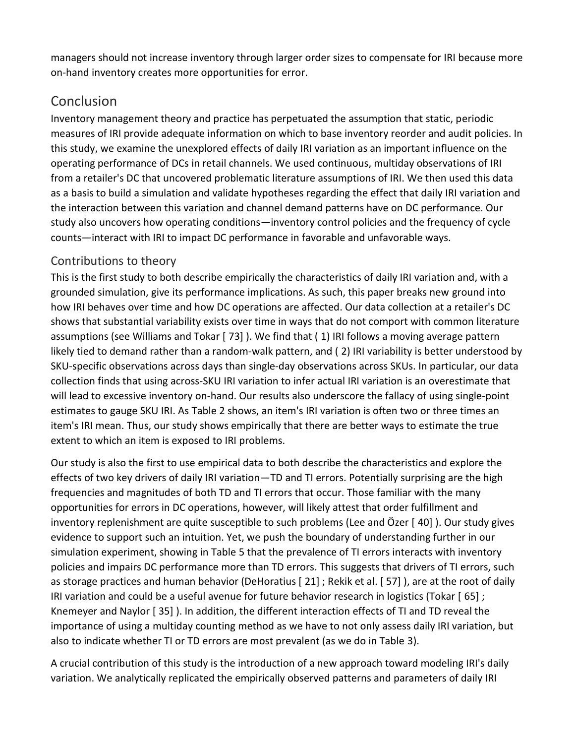managers should not increase inventory through larger order sizes to compensate for IRI because more on‐hand inventory creates more opportunities for error.

# **Conclusion**

Inventory management theory and practice has perpetuated the assumption that static, periodic measures of IRI provide adequate information on which to base inventory reorder and audit policies. In this study, we examine the unexplored effects of daily IRI variation as an important influence on the operating performance of DCs in retail channels. We used continuous, multiday observations of IRI from a retailer's DC that uncovered problematic literature assumptions of IRI. We then used this data as a basis to build a simulation and validate hypotheses regarding the effect that daily IRI variation and the interaction between this variation and channel demand patterns have on DC performance. Our study also uncovers how operating conditions—inventory control policies and the frequency of cycle counts—interact with IRI to impact DC performance in favorable and unfavorable ways.

## Contributions to theory

This is the first study to both describe empirically the characteristics of daily IRI variation and, with a grounded simulation, give its performance implications. As such, this paper breaks new ground into how IRI behaves over time and how DC operations are affected. Our data collection at a retailer's DC shows that substantial variability exists over time in ways that do not comport with common literature assumptions (see Williams and Tokar [ 73] ). We find that ( 1) IRI follows a moving average pattern likely tied to demand rather than a random‐walk pattern, and ( 2) IRI variability is better understood by SKU-specific observations across days than single-day observations across SKUs. In particular, our data collection finds that using across‐SKU IRI variation to infer actual IRI variation is an overestimate that will lead to excessive inventory on-hand. Our results also underscore the fallacy of using single-point estimates to gauge SKU IRI. As Table 2 shows, an item's IRI variation is often two or three times an item's IRI mean. Thus, our study shows empirically that there are better ways to estimate the true extent to which an item is exposed to IRI problems.

Our study is also the first to use empirical data to both describe the characteristics and explore the effects of two key drivers of daily IRI variation—TD and TI errors. Potentially surprising are the high frequencies and magnitudes of both TD and TI errors that occur. Those familiar with the many opportunities for errors in DC operations, however, will likely attest that order fulfillment and inventory replenishment are quite susceptible to such problems (Lee and Özer [ 40] ). Our study gives evidence to support such an intuition. Yet, we push the boundary of understanding further in our simulation experiment, showing in Table 5 that the prevalence of TI errors interacts with inventory policies and impairs DC performance more than TD errors. This suggests that drivers of TI errors, such as storage practices and human behavior (DeHoratius [ 21] ; Rekik et al. [ 57] ), are at the root of daily IRI variation and could be a useful avenue for future behavior research in logistics (Tokar [ 65] ; Knemeyer and Naylor [ 35] ). In addition, the different interaction effects of TI and TD reveal the importance of using a multiday counting method as we have to not only assess daily IRI variation, but also to indicate whether TI or TD errors are most prevalent (as we do in Table 3).

A crucial contribution of this study is the introduction of a new approach toward modeling IRI's daily variation. We analytically replicated the empirically observed patterns and parameters of daily IRI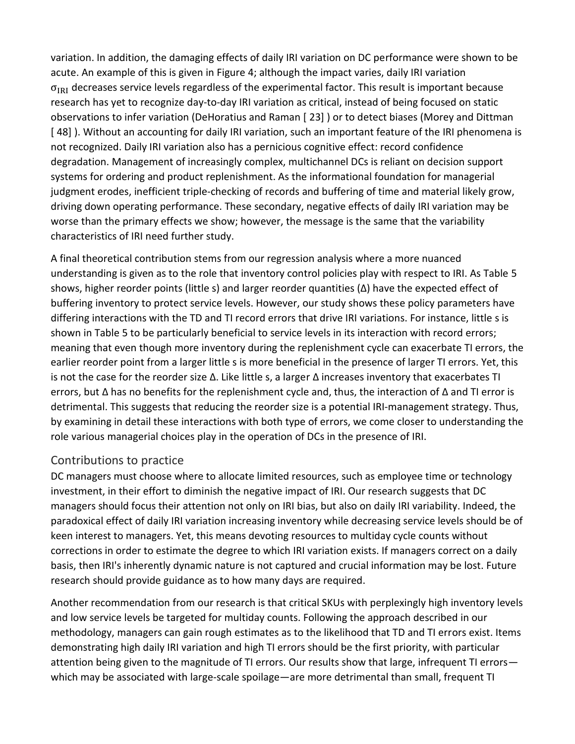variation. In addition, the damaging effects of daily IRI variation on DC performance were shown to be acute. An example of this is given in Figure 4; although the impact varies, daily IRI variation  $\sigma_{IRI}$  decreases service levels regardless of the experimental factor. This result is important because research has yet to recognize day‐to‐day IRI variation as critical, instead of being focused on static observations to infer variation (DeHoratius and Raman [ 23] ) or to detect biases (Morey and Dittman [ 48] ). Without an accounting for daily IRI variation, such an important feature of the IRI phenomena is not recognized. Daily IRI variation also has a pernicious cognitive effect: record confidence degradation. Management of increasingly complex, multichannel DCs is reliant on decision support systems for ordering and product replenishment. As the informational foundation for managerial judgment erodes, inefficient triple‐checking of records and buffering of time and material likely grow, driving down operating performance. These secondary, negative effects of daily IRI variation may be worse than the primary effects we show; however, the message is the same that the variability characteristics of IRI need further study.

A final theoretical contribution stems from our regression analysis where a more nuanced understanding is given as to the role that inventory control policies play with respect to IRI. As Table 5 shows, higher reorder points (little s) and larger reorder quantities (Δ) have the expected effect of buffering inventory to protect service levels. However, our study shows these policy parameters have differing interactions with the TD and TI record errors that drive IRI variations. For instance, little s is shown in Table 5 to be particularly beneficial to service levels in its interaction with record errors; meaning that even though more inventory during the replenishment cycle can exacerbate TI errors, the earlier reorder point from a larger little s is more beneficial in the presence of larger TI errors. Yet, this is not the case for the reorder size  $\Delta$ . Like little s, a larger  $\Delta$  increases inventory that exacerbates TI errors, but Δ has no benefits for the replenishment cycle and, thus, the interaction of Δ and TI error is detrimental. This suggests that reducing the reorder size is a potential IRI-management strategy. Thus, by examining in detail these interactions with both type of errors, we come closer to understanding the role various managerial choices play in the operation of DCs in the presence of IRI.

#### Contributions to practice

DC managers must choose where to allocate limited resources, such as employee time or technology investment, in their effort to diminish the negative impact of IRI. Our research suggests that DC managers should focus their attention not only on IRI bias, but also on daily IRI variability. Indeed, the paradoxical effect of daily IRI variation increasing inventory while decreasing service levels should be of keen interest to managers. Yet, this means devoting resources to multiday cycle counts without corrections in order to estimate the degree to which IRI variation exists. If managers correct on a daily basis, then IRI's inherently dynamic nature is not captured and crucial information may be lost. Future research should provide guidance as to how many days are required.

Another recommendation from our research is that critical SKUs with perplexingly high inventory levels and low service levels be targeted for multiday counts. Following the approach described in our methodology, managers can gain rough estimates as to the likelihood that TD and TI errors exist. Items demonstrating high daily IRI variation and high TI errors should be the first priority, with particular attention being given to the magnitude of TI errors. Our results show that large, infrequent TI errors which may be associated with large-scale spoilage—are more detrimental than small, frequent TI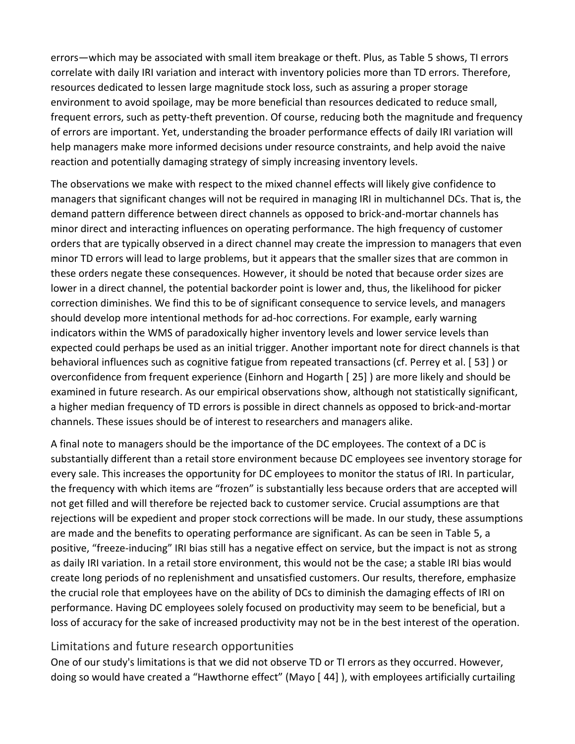errors—which may be associated with small item breakage or theft. Plus, as Table 5 shows, TI errors correlate with daily IRI variation and interact with inventory policies more than TD errors. Therefore, resources dedicated to lessen large magnitude stock loss, such as assuring a proper storage environment to avoid spoilage, may be more beneficial than resources dedicated to reduce small, frequent errors, such as petty‐theft prevention. Of course, reducing both the magnitude and frequency of errors are important. Yet, understanding the broader performance effects of daily IRI variation will help managers make more informed decisions under resource constraints, and help avoid the naive reaction and potentially damaging strategy of simply increasing inventory levels.

The observations we make with respect to the mixed channel effects will likely give confidence to managers that significant changes will not be required in managing IRI in multichannel DCs. That is, the demand pattern difference between direct channels as opposed to brick‐and‐mortar channels has minor direct and interacting influences on operating performance. The high frequency of customer orders that are typically observed in a direct channel may create the impression to managers that even minor TD errors will lead to large problems, but it appears that the smaller sizes that are common in these orders negate these consequences. However, it should be noted that because order sizes are lower in a direct channel, the potential backorder point is lower and, thus, the likelihood for picker correction diminishes. We find this to be of significant consequence to service levels, and managers should develop more intentional methods for ad‐hoc corrections. For example, early warning indicators within the WMS of paradoxically higher inventory levels and lower service levels than expected could perhaps be used as an initial trigger. Another important note for direct channels is that behavioral influences such as cognitive fatigue from repeated transactions (cf. Perrey et al. [ 53] ) or overconfidence from frequent experience (Einhorn and Hogarth [ 25] ) are more likely and should be examined in future research. As our empirical observations show, although not statistically significant, a higher median frequency of TD errors is possible in direct channels as opposed to brick‐and‐mortar channels. These issues should be of interest to researchers and managers alike.

A final note to managers should be the importance of the DC employees. The context of a DC is substantially different than a retail store environment because DC employees see inventory storage for every sale. This increases the opportunity for DC employees to monitor the status of IRI. In particular, the frequency with which items are "frozen" is substantially less because orders that are accepted will not get filled and will therefore be rejected back to customer service. Crucial assumptions are that rejections will be expedient and proper stock corrections will be made. In our study, these assumptions are made and the benefits to operating performance are significant. As can be seen in Table 5, a positive, "freeze‐inducing" IRI bias still has a negative effect on service, but the impact is not as strong as daily IRI variation. In a retail store environment, this would not be the case; a stable IRI bias would create long periods of no replenishment and unsatisfied customers. Our results, therefore, emphasize the crucial role that employees have on the ability of DCs to diminish the damaging effects of IRI on performance. Having DC employees solely focused on productivity may seem to be beneficial, but a loss of accuracy for the sake of increased productivity may not be in the best interest of the operation.

#### Limitations and future research opportunities

One of our study's limitations is that we did not observe TD or TI errors as they occurred. However, doing so would have created a "Hawthorne effect" (Mayo [ 44] ), with employees artificially curtailing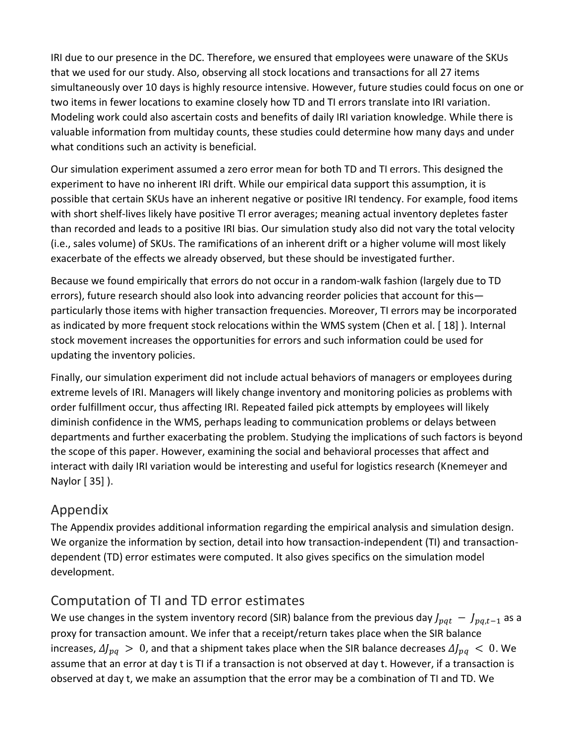IRI due to our presence in the DC. Therefore, we ensured that employees were unaware of the SKUs that we used for our study. Also, observing all stock locations and transactions for all 27 items simultaneously over 10 days is highly resource intensive. However, future studies could focus on one or two items in fewer locations to examine closely how TD and TI errors translate into IRI variation. Modeling work could also ascertain costs and benefits of daily IRI variation knowledge. While there is valuable information from multiday counts, these studies could determine how many days and under what conditions such an activity is beneficial.

Our simulation experiment assumed a zero error mean for both TD and TI errors. This designed the experiment to have no inherent IRI drift. While our empirical data support this assumption, it is possible that certain SKUs have an inherent negative or positive IRI tendency. For example, food items with short shelf-lives likely have positive TI error averages; meaning actual inventory depletes faster than recorded and leads to a positive IRI bias. Our simulation study also did not vary the total velocity (i.e., sales volume) of SKUs. The ramifications of an inherent drift or a higher volume will most likely exacerbate of the effects we already observed, but these should be investigated further.

Because we found empirically that errors do not occur in a random-walk fashion (largely due to TD errors), future research should also look into advancing reorder policies that account for this particularly those items with higher transaction frequencies. Moreover, TI errors may be incorporated as indicated by more frequent stock relocations within the WMS system (Chen et al. [ 18] ). Internal stock movement increases the opportunities for errors and such information could be used for updating the inventory policies.

Finally, our simulation experiment did not include actual behaviors of managers or employees during extreme levels of IRI. Managers will likely change inventory and monitoring policies as problems with order fulfillment occur, thus affecting IRI. Repeated failed pick attempts by employees will likely diminish confidence in the WMS, perhaps leading to communication problems or delays between departments and further exacerbating the problem. Studying the implications of such factors is beyond the scope of this paper. However, examining the social and behavioral processes that affect and interact with daily IRI variation would be interesting and useful for logistics research (Knemeyer and Naylor [ 35] ).

# Appendix

The Appendix provides additional information regarding the empirical analysis and simulation design. We organize the information by section, detail into how transaction-independent (TI) and transactiondependent (TD) error estimates were computed. It also gives specifics on the simulation model development.

# Computation of TI and TD error estimates

We use changes in the system inventory record (SIR) balance from the previous day  $J_{pat} - J_{pat-1}$  as a proxy for transaction amount. We infer that a receipt/return takes place when the SIR balance increases,  $\Delta J_{pq} > 0$ , and that a shipment takes place when the SIR balance decreases  $\Delta J_{pq} < 0$ . We assume that an error at day t is TI if a transaction is not observed at day t. However, if a transaction is observed at day t, we make an assumption that the error may be a combination of TI and TD. We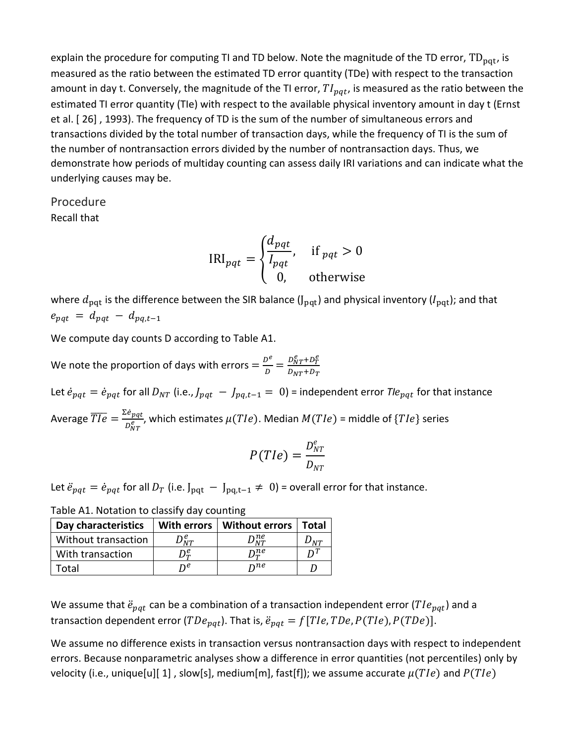explain the procedure for computing TI and TD below. Note the magnitude of the TD error,  $TD_{pat}$ , is measured as the ratio between the estimated TD error quantity (TDe) with respect to the transaction amount in day t. Conversely, the magnitude of the TI error,  $TI_{pat}$ , is measured as the ratio between the estimated TI error quantity (TIe) with respect to the available physical inventory amount in day t (Ernst et al. [ 26] , 1993). The frequency of TD is the sum of the number of simultaneous errors and transactions divided by the total number of transaction days, while the frequency of TI is the sum of the number of nontransaction errors divided by the number of nontransaction days. Thus, we demonstrate how periods of multiday counting can assess daily IRI variations and can indicate what the underlying causes may be.

Procedure Recall that

$$
IRI_{pqt} = \begin{cases} \frac{d_{pqt}}{I_{pqt}}, & \text{if }_{pqt} > 0\\ 0, & \text{otherwise} \end{cases}
$$

where  $d_{\text{pqt}}$  is the difference between the SIR balance (J<sub>pqt</sub>) and physical inventory (I<sub>pqt</sub>); and that  $e_{pqt} = d_{pqt} - d_{pq,t-1}$ 

We compute day counts D according to Table A1.

We note the proportion of days with errors  $=$   $\frac{D^e}{D}$  $\frac{D^e}{D} = \frac{D_{NT}^e + D_T^e}{D_{NT} + D_T}$  $D_{NT}+D_T$ 

Let  $\dot{e}_{nat} = \dot{e}_{nat}$  for all  $D_{NT}$  (i.e.,  $J_{nat} - J_{nat-1} = 0$ ) = independent error *Tle<sub>nat</sub>* for that instance Average  $\overline{Tle} = \frac{\Sigma e_{pqt}}{R}$  $\frac{\partial p_{\theta}^{c}}{\partial p_{\theta T}^{\theta}}$ , which estimates  $\mu(Tle)$ . Median  $M(Tle)$  = middle of  $\{Tle\}$  series

$$
P(TIe) = \frac{D_{NT}^e}{D_{NT}}
$$

Let  $\ddot{e}_{pqt} = \dot{e}_{pqt}$  for all  $D_T$  (i.e. J<sub>pqt</sub> − J<sub>pq,t−1</sub> ≠ 0) = overall error for that instance.

| Day characteristics | With errors              | <b>Without errors</b>         | l Total       |
|---------------------|--------------------------|-------------------------------|---------------|
| Without transaction | $\mathcal{C}_{_{\!N T}}$ | $\mathcal{D}_{NT}^{ne}$       | $\prime_{NT}$ |
| With transaction    | D£                       | $\mathcal{D}_{\bm{\pi}}^{ne}$ |               |
| Total               | ne                       | nne                           |               |

Table A1. Notation to classify day counting

We assume that  $\ddot{e}_{pat}$  can be a combination of a transaction independent error (TI $e_{pat}$ ) and a transaction dependent error (TDe<sub>pqt</sub>). That is,  $\ddot{e}_{pqt} = f[The, TDe, P(TIe), P(TDe)].$ 

We assume no difference exists in transaction versus nontransaction days with respect to independent errors. Because nonparametric analyses show a difference in error quantities (not percentiles) only by velocity (i.e., unique[u][ 1], slow[s], medium[m], fast[f]); we assume accurate  $\mu(TIe)$  and  $P(TIe)$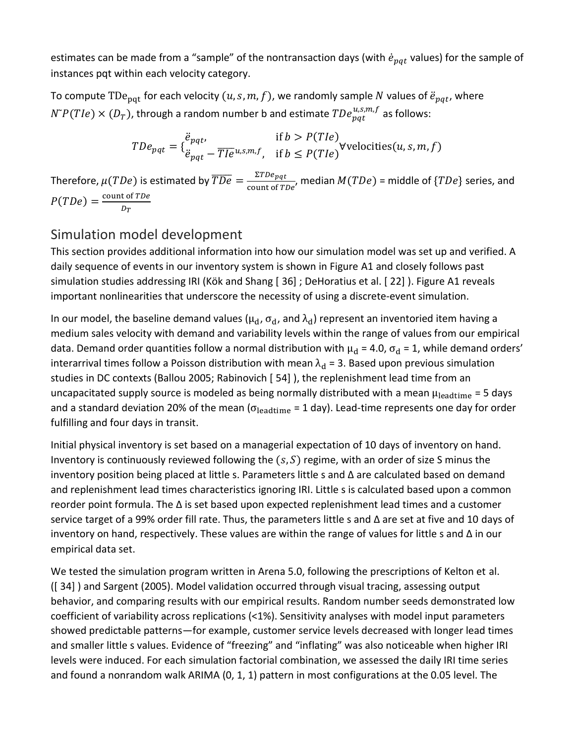estimates can be made from a "sample" of the nontransaction days (with  $\dot{e}_{nat}$  values) for the sample of instances pqt within each velocity category.

To compute TDe<sub>pqt</sub> for each velocity  $(u, s, m, f)$ , we randomly sample N values of  $\ddot{e}_{pat}$ , where  $N^{\gamma}P(Tle) \times (D_T)$ , through a random number b and estimate  $TDe^{u,s,m,f}_{pqt}$  as follows:

$$
TDe_{pqt} = \{ \ddot{e}_{pqt}, \quad \text{if } b > P(Tle) \} \forall \text{velocities}(u, s, m, f)
$$
  

$$
FDE_{pqt} = \frac{\ddot{e}_{pqt}}{\ddot{e}_{pqt} - \overline{Tle}u, s, m, f}, \quad \text{if } b \le P(Tle) \forall \text{velocities}(u, s, m, f)
$$

Therefore,  $\mu(TDe)$  is estimated by  $\overline{TDe} = \frac{\Sigma TDe_{pqt}}{2 \sum_{i=1}^{n} \sum_{j=1}^{n} p_{ij}$  $\frac{2125pqr}{\text{count of } TDe}$ , median  $M(TDe)$  = middle of  $\{TDe\}$  series, and  $P(TDe) = \frac{\text{count of } TDe}{D}$  $D_T$ 

# Simulation model development

This section provides additional information into how our simulation model was set up and verified. A daily sequence of events in our inventory system is shown in Figure A1 and closely follows past simulation studies addressing IRI (Kök and Shang [ 36] ; DeHoratius et al. [ 22] ). Figure A1 reveals important nonlinearities that underscore the necessity of using a discrete‐event simulation.

In our model, the baseline demand values ( $\mu_d$ ,  $\sigma_d$ , and  $\lambda_d$ ) represent an inventoried item having a medium sales velocity with demand and variability levels within the range of values from our empirical data. Demand order quantities follow a normal distribution with  $\mu_d = 4.0$ ,  $\sigma_d = 1$ , while demand orders' interarrival times follow a Poisson distribution with mean  $\lambda_d = 3$ . Based upon previous simulation studies in DC contexts (Ballou 2005; Rabinovich [ 54] ), the replenishment lead time from an uncapacitated supply source is modeled as being normally distributed with a mean  $\mu_{\rm{leading}} = 5$  days and a standard deviation 20% of the mean ( $\sigma_{\text{leading}} = 1$  day). Lead-time represents one day for order fulfilling and four days in transit.

Initial physical inventory is set based on a managerial expectation of 10 days of inventory on hand. Inventory is continuously reviewed following the  $(s, S)$  regime, with an order of size S minus the inventory position being placed at little s. Parameters little s and Δ are calculated based on demand and replenishment lead times characteristics ignoring IRI. Little s is calculated based upon a common reorder point formula. The Δ is set based upon expected replenishment lead times and a customer service target of a 99% order fill rate. Thus, the parameters little s and Δ are set at five and 10 days of inventory on hand, respectively. These values are within the range of values for little s and Δ in our empirical data set.

We tested the simulation program written in Arena 5.0, following the prescriptions of Kelton et al. ([ 34] ) and Sargent (2005). Model validation occurred through visual tracing, assessing output behavior, and comparing results with our empirical results. Random number seeds demonstrated low coefficient of variability across replications (<1%). Sensitivity analyses with model input parameters showed predictable patterns—for example, customer service levels decreased with longer lead times and smaller little s values. Evidence of "freezing" and "inflating" was also noticeable when higher IRI levels were induced. For each simulation factorial combination, we assessed the daily IRI time series and found a nonrandom walk ARIMA (0, 1, 1) pattern in most configurations at the 0.05 level. The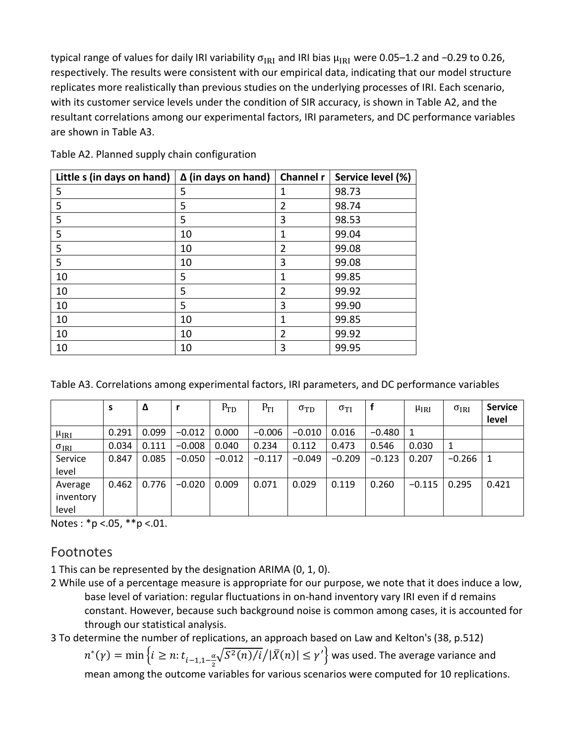typical range of values for daily IRI variability  $\sigma_{IRI}$  and IRI bias  $\mu_{IRI}$  were 0.05–1.2 and −0.29 to 0.26, respectively. The results were consistent with our empirical data, indicating that our model structure replicates more realistically than previous studies on the underlying processes of IRI. Each scenario, with its customer service levels under the condition of SIR accuracy, is shown in Table A2, and the resultant correlations among our experimental factors, IRI parameters, and DC performance variables are shown in Table A3.

| Little s (in days on hand) | $\Delta$ (in days on hand) | Channel r | Service level (%) |
|----------------------------|----------------------------|-----------|-------------------|
| 5                          | 5                          | 1         | 98.73             |
| 5                          | 5                          | 2         | 98.74             |
| 5                          | 5                          | 3         | 98.53             |
| 5                          | 10                         | 1         | 99.04             |
| 5                          | 10                         | 2         | 99.08             |
| 5                          | 10                         | 3         | 99.08             |
| 10                         | 5                          | 1         | 99.85             |
| 10                         | 5                          | 2         | 99.92             |
| 10                         | 5                          | 3         | 99.90             |
| 10                         | 10                         | 1         | 99.85             |
| 10                         | 10                         | 2         | 99.92             |
| 10                         | 10                         | 3         | 99.95             |

Table A2. Planned supply chain configuration

| Table A3. Correlations among experimental factors, IRI parameters, and DC performance variables |  |  |
|-------------------------------------------------------------------------------------------------|--|--|
|-------------------------------------------------------------------------------------------------|--|--|

|                | S     | Δ     |          | $P_{TD}$ | $P_{TI}$ | $\sigma_{\rm TD}$ | $\sigma_{\rm TI}$ |          | $\mu_{IRI}$ | $\sigma_{IRI}$ | <b>Service</b><br>level |
|----------------|-------|-------|----------|----------|----------|-------------------|-------------------|----------|-------------|----------------|-------------------------|
| $\mu_{IRI}$    | 0.291 | 0.099 | $-0.012$ | 0.000    | $-0.006$ | $-0.010$          | 0.016             | $-0.480$ |             |                |                         |
| $\sigma_{IRI}$ | 0.034 | 0.111 | $-0.008$ | 0.040    | 0.234    | 0.112             | 0.473             | 0.546    | 0.030       |                |                         |
| Service        | 0.847 | 0.085 | $-0.050$ | $-0.012$ | $-0.117$ | $-0.049$          | $-0.209$          | $-0.123$ | 0.207       | $-0.266$       | 1                       |
| level          |       |       |          |          |          |                   |                   |          |             |                |                         |
| Average        | 0.462 | 0.776 | $-0.020$ | 0.009    | 0.071    | 0.029             | 0.119             | 0.260    | $-0.115$    | 0.295          | 0.421                   |
| inventory      |       |       |          |          |          |                   |                   |          |             |                |                         |
| level          |       |       |          |          |          |                   |                   |          |             |                |                         |

Notes :  $*p < .05$ ,  $**p < .01$ .

## Footnotes

1 This can be represented by the designation ARIMA (0, 1, 0).

2 While use of a percentage measure is appropriate for our purpose, we note that it does induce a low, base level of variation: regular fluctuations in on-hand inventory vary IRI even if d remains constant. However, because such background noise is common among cases, it is accounted for through our statistical analysis.

3 To determine the number of replications, an approach based on Law and Kelton's (38, p.512)

 $n^*(\gamma) = \min\left\{i \geq n : t_{i-1,1-\frac{\alpha}{2}}\right\}$  $\frac{\alpha}{2}\sqrt{S^2(n)/i}/|\bar{X}(n)|\leq \gamma'\Big\}$  was used. The average variance and mean among the outcome variables for various scenarios were computed for 10 replications.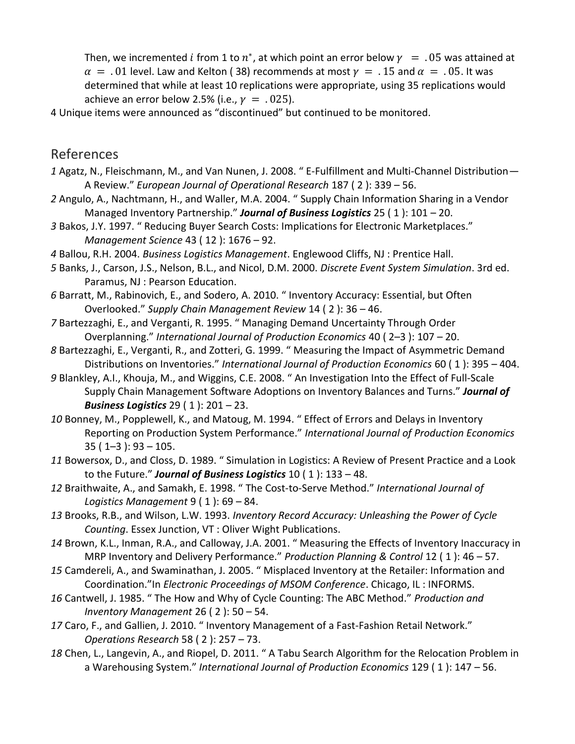Then, we incremented i from 1 to  $n^*$ , at which point an error below  $\gamma = .05$  was attained at  $\alpha = 0.01$  level. Law and Kelton (38) recommends at most  $\gamma = 0.15$  and  $\alpha = 0.05$ . It was determined that while at least 10 replications were appropriate, using 35 replications would achieve an error below 2.5% (i.e.,  $\gamma = .025$ ).

4 Unique items were announced as "discontinued" but continued to be monitored.

## References

- *1* Agatz, N., Fleischmann, M., and Van Nunen, J. 2008. " E‐Fulfillment and Multi‐Channel Distribution— A Review." *European Journal of Operational Research* 187 ( 2 ): 339 – 56.
- *2* Angulo, A., Nachtmann, H., and Waller, M.A. 2004. " Supply Chain Information Sharing in a Vendor Managed Inventory Partnership." *Journal of Business Logistics* 25 ( 1 ): 101 – 20.
- *3* Bakos, J.Y. 1997. " Reducing Buyer Search Costs: Implications for Electronic Marketplaces." *Management Science* 43 ( 12 ): 1676 – 92.
- *4* Ballou, R.H. 2004. *Business Logistics Management*. Englewood Cliffs, NJ : Prentice Hall.
- *5* Banks, J., Carson, J.S., Nelson, B.L., and Nicol, D.M. 2000. *Discrete Event System Simulation*. 3rd ed. Paramus, NJ : Pearson Education.
- *6* Barratt, M., Rabinovich, E., and Sodero, A. 2010. " Inventory Accuracy: Essential, but Often Overlooked." *Supply Chain Management Review* 14 ( 2 ): 36 – 46.
- *7* Bartezzaghi, E., and Verganti, R. 1995. " Managing Demand Uncertainty Through Order Overplanning." *International Journal of Production Economics* 40 ( 2–3 ): 107 – 20.
- *8* Bartezzaghi, E., Verganti, R., and Zotteri, G. 1999. " Measuring the Impact of Asymmetric Demand Distributions on Inventories." *International Journal of Production Economics* 60 ( 1 ): 395 – 404.
- *9* Blankley, A.I., Khouja, M., and Wiggins, C.E. 2008. " An Investigation Into the Effect of Full‐Scale Supply Chain Management Software Adoptions on Inventory Balances and Turns." *Journal of Business Logistics* 29 ( 1 ): 201 – 23.
- *10* Bonney, M., Popplewell, K., and Matoug, M. 1994. " Effect of Errors and Delays in Inventory Reporting on Production System Performance." *International Journal of Production Economics* 35 ( 1–3 ): 93 – 105.
- *11* Bowersox, D., and Closs, D. 1989. " Simulation in Logistics: A Review of Present Practice and a Look to the Future." *Journal of Business Logistics* 10 ( 1 ): 133 – 48.
- *12* Braithwaite, A., and Samakh, E. 1998. " The Cost‐to‐Serve Method." *International Journal of Logistics Management* 9 ( 1 ): 69 – 84.
- *13* Brooks, R.B., and Wilson, L.W. 1993. *Inventory Record Accuracy: Unleashing the Power of Cycle Counting*. Essex Junction, VT : Oliver Wight Publications.
- *14* Brown, K.L., Inman, R.A., and Calloway, J.A. 2001. " Measuring the Effects of Inventory Inaccuracy in MRP Inventory and Delivery Performance." *Production Planning & Control* 12 ( 1 ): 46 – 57.
- *15* Camdereli, A., and Swaminathan, J. 2005. " Misplaced Inventory at the Retailer: Information and Coordination."In *Electronic Proceedings of MSOM Conference*. Chicago, IL : INFORMS.
- *16* Cantwell, J. 1985. " The How and Why of Cycle Counting: The ABC Method." *Production and Inventory Management* 26 ( 2 ): 50 – 54.
- 17 Caro, F., and Gallien, J. 2010. " Inventory Management of a Fast-Fashion Retail Network." *Operations Research* 58 ( 2 ): 257 – 73.
- *18* Chen, L., Langevin, A., and Riopel, D. 2011. " A Tabu Search Algorithm for the Relocation Problem in a Warehousing System." *International Journal of Production Economics* 129 ( 1 ): 147 – 56.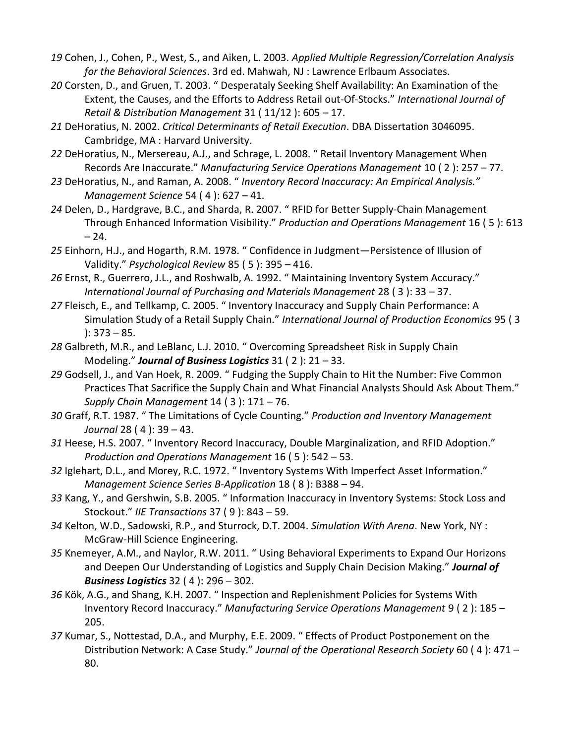- *19* Cohen, J., Cohen, P., West, S., and Aiken, L. 2003. *Applied Multiple Regression/Correlation Analysis for the Behavioral Sciences*. 3rd ed. Mahwah, NJ : Lawrence Erlbaum Associates.
- *20* Corsten, D., and Gruen, T. 2003. " Desperataly Seeking Shelf Availability: An Examination of the Extent, the Causes, and the Efforts to Address Retail out‐Of‐Stocks." *International Journal of Retail & Distribution Management* 31 ( 11/12 ): 605 – 17.
- *21* DeHoratius, N. 2002. *Critical Determinants of Retail Execution*. DBA Dissertation 3046095. Cambridge, MA : Harvard University.
- *22* DeHoratius, N., Mersereau, A.J., and Schrage, L. 2008. " Retail Inventory Management When Records Are Inaccurate." *Manufacturing Service Operations Management* 10 ( 2 ): 257 – 77.
- *23* DeHoratius, N., and Raman, A. 2008. " *Inventory Record Inaccuracy: An Empirical Analysis." Management Science* 54 ( 4 ): 627 – 41.
- *24* Delen, D., Hardgrave, B.C., and Sharda, R. 2007. " RFID for Better Supply‐Chain Management Through Enhanced Information Visibility." *Production and Operations Management* 16 ( 5 ): 613 – 24.
- *25* Einhorn, H.J., and Hogarth, R.M. 1978. " Confidence in Judgment—Persistence of Illusion of Validity." *Psychological Review* 85 ( 5 ): 395 – 416.
- *26* Ernst, R., Guerrero, J.L., and Roshwalb, A. 1992. " Maintaining Inventory System Accuracy." *International Journal of Purchasing and Materials Management* 28 ( 3 ): 33 – 37.
- *27* Fleisch, E., and Tellkamp, C. 2005. " Inventory Inaccuracy and Supply Chain Performance: A Simulation Study of a Retail Supply Chain." *International Journal of Production Economics* 95 ( 3 ): 373 – 85.
- *28* Galbreth, M.R., and LeBlanc, L.J. 2010. " Overcoming Spreadsheet Risk in Supply Chain Modeling." *Journal of Business Logistics* 31 ( 2 ): 21 – 33.
- *29* Godsell, J., and Van Hoek, R. 2009. " Fudging the Supply Chain to Hit the Number: Five Common Practices That Sacrifice the Supply Chain and What Financial Analysts Should Ask About Them." *Supply Chain Management* 14 ( 3 ): 171 – 76.
- *30* Graff, R.T. 1987. " The Limitations of Cycle Counting." *Production and Inventory Management Journal* 28 ( 4 ): 39 – 43.
- *31* Heese, H.S. 2007. " Inventory Record Inaccuracy, Double Marginalization, and RFID Adoption." *Production and Operations Management* 16 ( 5 ): 542 – 53.
- *32* Iglehart, D.L., and Morey, R.C. 1972. " Inventory Systems With Imperfect Asset Information." *Management Science Series B‐Application* 18 ( 8 ): B388 – 94.
- *33* Kang, Y., and Gershwin, S.B. 2005. " Information Inaccuracy in Inventory Systems: Stock Loss and Stockout." *IIE Transactions* 37 ( 9 ): 843 – 59.
- *34* Kelton, W.D., Sadowski, R.P., and Sturrock, D.T. 2004. *Simulation With Arena*. New York, NY : McGraw‐Hill Science Engineering.
- *35* Knemeyer, A.M., and Naylor, R.W. 2011. " Using Behavioral Experiments to Expand Our Horizons and Deepen Our Understanding of Logistics and Supply Chain Decision Making." *Journal of Business Logistics* 32 ( 4 ): 296 – 302.
- *36* Kök, A.G., and Shang, K.H. 2007. " Inspection and Replenishment Policies for Systems With Inventory Record Inaccuracy." *Manufacturing Service Operations Management* 9 ( 2 ): 185 – 205.
- *37* Kumar, S., Nottestad, D.A., and Murphy, E.E. 2009. " Effects of Product Postponement on the Distribution Network: A Case Study." *Journal of the Operational Research Society* 60 ( 4 ): 471 – 80.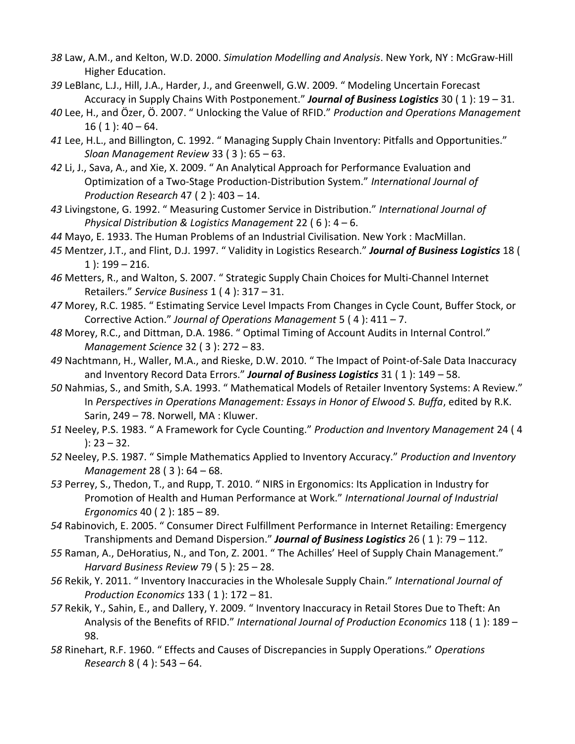- *38* Law, A.M., and Kelton, W.D. 2000. *Simulation Modelling and Analysis*. New York, NY : McGraw‐Hill Higher Education.
- *39* LeBlanc, L.J., Hill, J.A., Harder, J., and Greenwell, G.W. 2009. " Modeling Uncertain Forecast Accuracy in Supply Chains With Postponement." *Journal of Business Logistics* 30 ( 1 ): 19 – 31.
- *40* Lee, H., and Özer, Ö. 2007. " Unlocking the Value of RFID." *Production and Operations Management*  $16(1)$ :  $40 - 64$ .
- *41* Lee, H.L., and Billington, C. 1992. " Managing Supply Chain Inventory: Pitfalls and Opportunities." *Sloan Management Review* 33 ( 3 ): 65 – 63.
- *42* Li, J., Sava, A., and Xie, X. 2009. " An Analytical Approach for Performance Evaluation and Optimization of a Two‐Stage Production‐Distribution System." *International Journal of Production Research* 47 ( 2 ): 403 – 14.
- *43* Livingstone, G. 1992. " Measuring Customer Service in Distribution." *International Journal of Physical Distribution & Logistics Management* 22 ( 6 ): 4 – 6.
- *44* Mayo, E. 1933. The Human Problems of an Industrial Civilisation. New York : MacMillan.
- *45* Mentzer, J.T., and Flint, D.J. 1997. " Validity in Logistics Research." *Journal of Business Logistics* 18 (  $1$  ):  $199 - 216$ .
- *46* Metters, R., and Walton, S. 2007. " Strategic Supply Chain Choices for Multi‐Channel Internet Retailers." *Service Business* 1 ( 4 ): 317 – 31.
- *47* Morey, R.C. 1985. " Estimating Service Level Impacts From Changes in Cycle Count, Buffer Stock, or Corrective Action." *Journal of Operations Management* 5 ( 4 ): 411 – 7.
- *48* Morey, R.C., and Dittman, D.A. 1986. " Optimal Timing of Account Audits in Internal Control." *Management Science* 32 ( 3 ): 272 – 83.
- *49* Nachtmann, H., Waller, M.A., and Rieske, D.W. 2010. " The Impact of Point‐of‐Sale Data Inaccuracy and Inventory Record Data Errors." *Journal of Business Logistics* 31 ( 1 ): 149 – 58.
- *50* Nahmias, S., and Smith, S.A. 1993. " Mathematical Models of Retailer Inventory Systems: A Review." In *Perspectives in Operations Management: Essays in Honor of Elwood S. Buffa*, edited by R.K. Sarin, 249 – 78. Norwell, MA : Kluwer.
- *51* Neeley, P.S. 1983. " A Framework for Cycle Counting." *Production and Inventory Management* 24 ( 4 ): 23 – 32.
- *52* Neeley, P.S. 1987. " Simple Mathematics Applied to Inventory Accuracy." *Production and Inventory Management* 28 ( 3 ): 64 – 68.
- *53* Perrey, S., Thedon, T., and Rupp, T. 2010. " NIRS in Ergonomics: Its Application in Industry for Promotion of Health and Human Performance at Work." *International Journal of Industrial Ergonomics* 40 ( 2 ): 185 – 89.
- *54* Rabinovich, E. 2005. " Consumer Direct Fulfillment Performance in Internet Retailing: Emergency Transhipments and Demand Dispersion." *Journal of Business Logistics* 26 ( 1 ): 79 – 112.
- *55* Raman, A., DeHoratius, N., and Ton, Z. 2001. " The Achilles' Heel of Supply Chain Management." *Harvard Business Review* 79 ( 5 ): 25 – 28.
- *56* Rekik, Y. 2011. " Inventory Inaccuracies in the Wholesale Supply Chain." *International Journal of Production Economics* 133 ( 1 ): 172 – 81.
- *57* Rekik, Y., Sahin, E., and Dallery, Y. 2009. " Inventory Inaccuracy in Retail Stores Due to Theft: An Analysis of the Benefits of RFID." *International Journal of Production Economics* 118 ( 1 ): 189 – 98.
- *58* Rinehart, R.F. 1960. " Effects and Causes of Discrepancies in Supply Operations." *Operations Research* 8 ( 4 ): 543 – 64.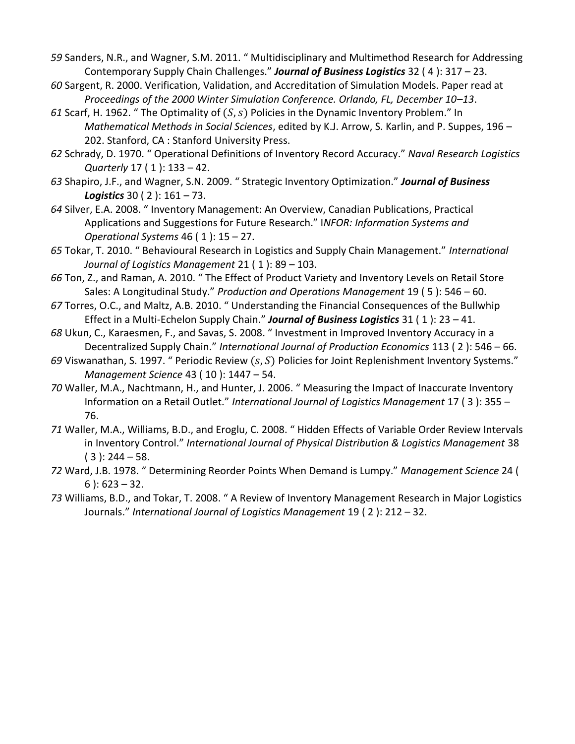- *59* Sanders, N.R., and Wagner, S.M. 2011. " Multidisciplinary and Multimethod Research for Addressing Contemporary Supply Chain Challenges." *Journal of Business Logistics* 32 ( 4 ): 317 – 23.
- *60* Sargent, R. 2000. Verification, Validation, and Accreditation of Simulation Models. Paper read at *Proceedings of the 2000 Winter Simulation Conference. Orlando, FL, December 10–13*.
- $61$  Scarf, H. 1962. " The Optimality of  $(S, s)$  Policies in the Dynamic Inventory Problem." In *Mathematical Methods in Social Sciences*, edited by K.J. Arrow, S. Karlin, and P. Suppes, 196 – 202. Stanford, CA : Stanford University Press.
- *62* Schrady, D. 1970. " Operational Definitions of Inventory Record Accuracy." *Naval Research Logistics Quarterly* 17 ( 1 ): 133 – 42.
- *63* Shapiro, J.F., and Wagner, S.N. 2009. " Strategic Inventory Optimization." *Journal of Business Logistics* 30 ( 2 ): 161 – 73.
- *64* Silver, E.A. 2008. " Inventory Management: An Overview, Canadian Publications, Practical Applications and Suggestions for Future Research." I*NFOR: Information Systems and Operational Systems* 46 ( 1 ): 15 – 27.
- *65* Tokar, T. 2010. " Behavioural Research in Logistics and Supply Chain Management." *International Journal of Logistics Management* 21 ( 1 ): 89 – 103.
- *66* Ton, Z., and Raman, A. 2010. " The Effect of Product Variety and Inventory Levels on Retail Store Sales: A Longitudinal Study." *Production and Operations Management* 19 ( 5 ): 546 – 60.
- *67* Torres, O.C., and Maltz, A.B. 2010. " Understanding the Financial Consequences of the Bullwhip Effect in a Multi‐Echelon Supply Chain." *Journal of Business Logistics* 31 ( 1 ): 23 – 41.
- *68* Ukun, C., Karaesmen, F., and Savas, S. 2008. " Investment in Improved Inventory Accuracy in a Decentralized Supply Chain." *International Journal of Production Economics* 113 ( 2 ): 546 – 66.
- 69 Viswanathan, S. 1997. " Periodic Review (s, S) Policies for Joint Replenishment Inventory Systems." *Management Science* 43 ( 10 ): 1447 – 54.
- *70* Waller, M.A., Nachtmann, H., and Hunter, J. 2006. " Measuring the Impact of Inaccurate Inventory Information on a Retail Outlet." *International Journal of Logistics Management* 17 ( 3 ): 355 – 76.
- *71* Waller, M.A., Williams, B.D., and Eroglu, C. 2008. " Hidden Effects of Variable Order Review Intervals in Inventory Control." *International Journal of Physical Distribution & Logistics Management* 38  $(3)$ : 244 – 58.
- *72* Ward, J.B. 1978. " Determining Reorder Points When Demand is Lumpy." *Management Science* 24 ( 6 ): 623 – 32.
- *73* Williams, B.D., and Tokar, T. 2008. " A Review of Inventory Management Research in Major Logistics Journals." *International Journal of Logistics Management* 19 ( 2 ): 212 – 32.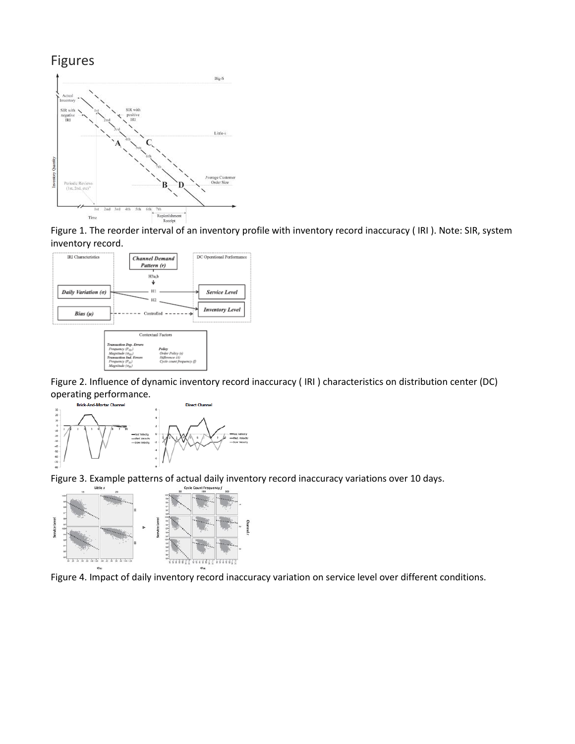# Figures



Figure 1. The reorder interval of an inventory profile with inventory record inaccuracy ( IRI ). Note: SIR, system inventory record.



Figure 2. Influence of dynamic inventory record inaccuracy ( IRI ) characteristics on distribution center (DC) **operating performance.**<br>Brick-And-Mortar Channel



Figure 3. Example patterns of actual daily inventory record inaccuracy variations over 10 days.